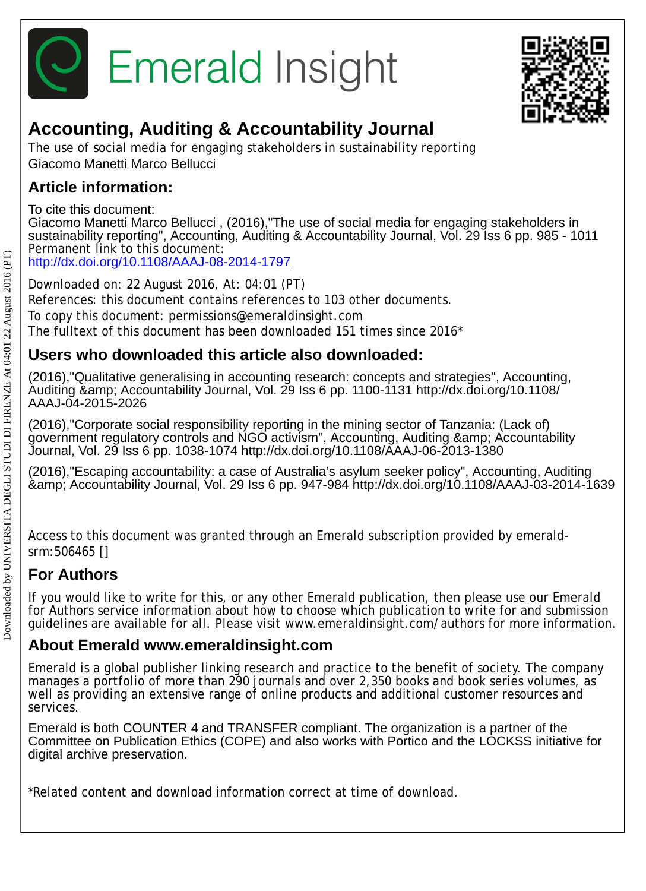



## **Accounting, Auditing & Accountability Journal**

The use of social media for engaging stakeholders in sustainability reporting Giacomo Manetti Marco Bellucci

### **Article information:**

To cite this document:

Giacomo Manetti Marco Bellucci , (2016),"The use of social media for engaging stakeholders in sustainability reporting", Accounting, Auditing & Accountability Journal, Vol. 29 Iss 6 pp. 985 - 1011 Permanent link to this document: <http://dx.doi.org/10.1108/AAAJ-08-2014-1797>

Downloaded on: 22 August 2016, At: 04:01 (PT) References: this document contains references to 103 other documents. To copy this document: permissions@emeraldinsight.com The fulltext of this document has been downloaded 151 times since 2016\*

### **Users who downloaded this article also downloaded:**

(2016),"Qualitative generalising in accounting research: concepts and strategies", Accounting, Auditing & Accountability Journal, Vol. 29 Iss 6 pp. 1100-1131 http://dx.doi.org/10.1108/ AAAJ-04-2015-2026

(2016),"Corporate social responsibility reporting in the mining sector of Tanzania: (Lack of) government regulatory controls and NGO activism", Accounting, Auditing & Accountability Journal, Vol. 29 Iss 6 pp. 1038-1074 http://dx.doi.org/10.1108/AAAJ-06-2013-1380

(2016),"Escaping accountability: a case of Australia's asylum seeker policy", Accounting, Auditing & Accountability Journal, Vol. 29 Iss 6 pp. 947-984 http://dx.doi.org/10.1108/AAAJ-03-2014-1639

Access to this document was granted through an Emerald subscription provided by emeraldsrm:506465 []

### **For Authors**

If you would like to write for this, or any other Emerald publication, then please use our Emerald for Authors service information about how to choose which publication to write for and submission guidelines are available for all. Please visit www.emeraldinsight.com/authors for more information.

### **About Emerald www.emeraldinsight.com**

Emerald is a global publisher linking research and practice to the benefit of society. The company manages a portfolio of more than 290 journals and over 2,350 books and book series volumes, as well as providing an extensive range of online products and additional customer resources and services.

Emerald is both COUNTER 4 and TRANSFER compliant. The organization is a partner of the Committee on Publication Ethics (COPE) and also works with Portico and the LOCKSS initiative for digital archive preservation.

\*Related content and download information correct at time of download.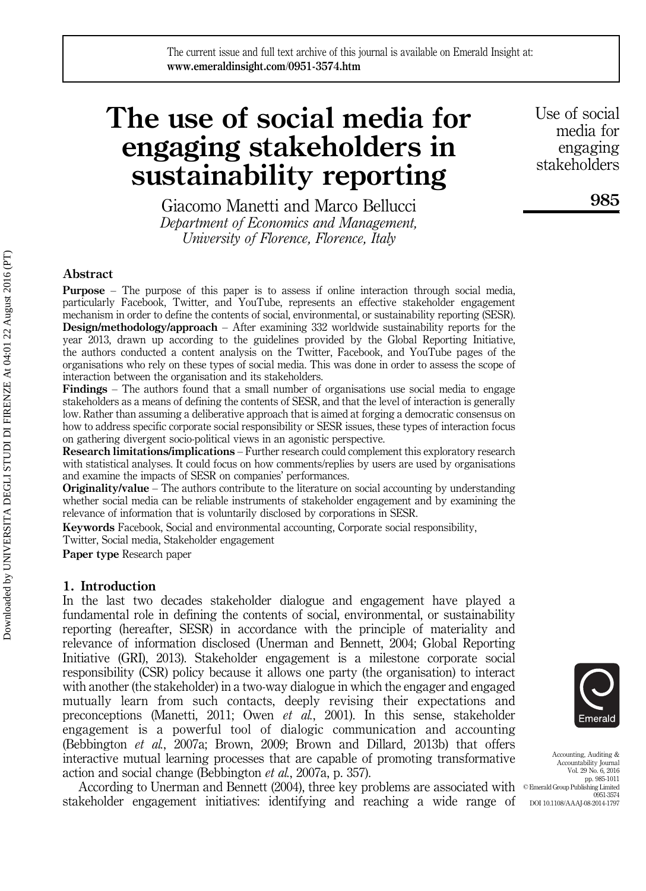# The use of social media for engaging stakeholders in sustainability reporting

Giacomo Manetti and Marco Bellucci Department of Economics and Management, University of Florence, Florence, Italy

Use of social media for engaging stakeholders

985

#### Abstract

Purpose – The purpose of this paper is to assess if online interaction through social media, particularly Facebook, Twitter, and YouTube, represents an effective stakeholder engagement mechanism in order to define the contents of social, environmental, or sustainability reporting (SESR). Design/methodology/approach – After examining 332 worldwide sustainability reports for the year 2013, drawn up according to the guidelines provided by the Global Reporting Initiative, the authors conducted a content analysis on the Twitter, Facebook, and YouTube pages of the organisations who rely on these types of social media. This was done in order to assess the scope of interaction between the organisation and its stakeholders.

Findings – The authors found that a small number of organisations use social media to engage stakeholders as a means of defining the contents of SESR, and that the level of interaction is generally low. Rather than assuming a deliberative approach that is aimed at forging a democratic consensus on how to address specific corporate social responsibility or SESR issues, these types of interaction focus on gathering divergent socio-political views in an agonistic perspective.

Research limitations/implications – Further research could complement this exploratory research with statistical analyses. It could focus on how comments/replies by users are used by organisations and examine the impacts of SESR on companies' performances.

**Originality/value** – The authors contribute to the literature on social accounting by understanding whether social media can be reliable instruments of stakeholder engagement and by examining the relevance of information that is voluntarily disclosed by corporations in SESR.

Keywords Facebook, Social and environmental accounting, Corporate social responsibility, Twitter, Social media, Stakeholder engagement

Paper type Research paper

#### 1. Introduction

In the last two decades stakeholder dialogue and engagement have played a fundamental role in defining the contents of social, environmental, or sustainability reporting (hereafter, SESR) in accordance with the principle of materiality and relevance of information disclosed (Unerman and Bennett, 2004; Global Reporting Initiative (GRI), 2013). Stakeholder engagement is a milestone corporate social responsibility (CSR) policy because it allows one party (the organisation) to interact with another (the stakeholder) in a two-way dialogue in which the engager and engaged mutually learn from such contacts, deeply revising their expectations and preconceptions (Manetti, 2011; Owen et al., 2001). In this sense, stakeholder engagement is a powerful tool of dialogic communication and accounting (Bebbington et al., 2007a; Brown, 2009; Brown and Dillard, 2013b) that offers interactive mutual learning processes that are capable of promoting transformative action and social change (Bebbington et al., 2007a, p. 357).

According to Unerman and Bennett (2004), three key problems are associated with <sup>© Emerald Group Publishing Limited</sup> stakeholder engagement initiatives: identifying and reaching a wide range of



Accounting, Auditing & Accountability Journal Vol. 29 No. 6, 2016 pp. 985-1011 0951-3574 DOI 10.1108/AAAJ-08-2014-1797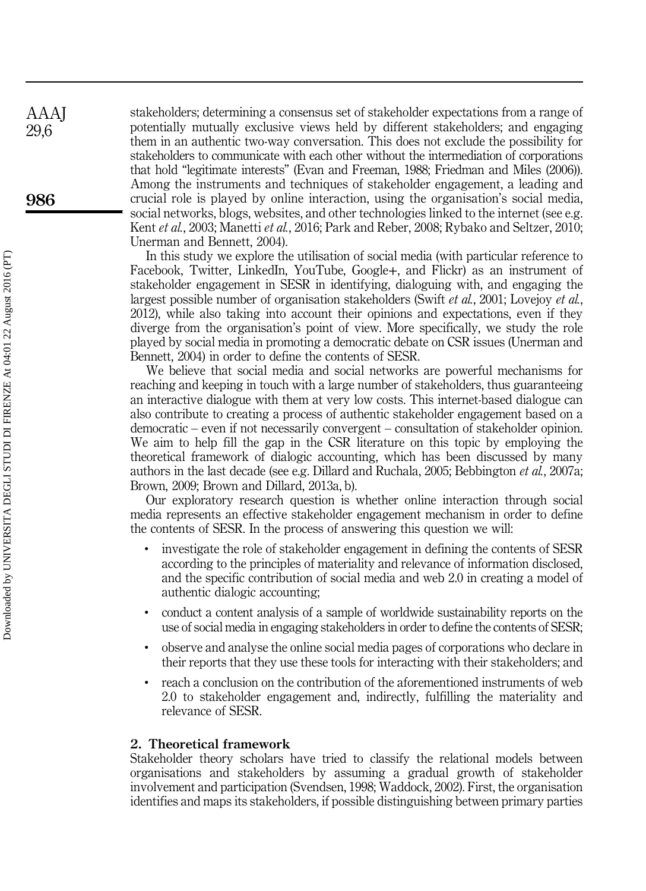stakeholders; determining a consensus set of stakeholder expectations from a range of potentially mutually exclusive views held by different stakeholders; and engaging them in an authentic two-way conversation. This does not exclude the possibility for stakeholders to communicate with each other without the intermediation of corporations that hold "legitimate interests" (Evan and Freeman, 1988; Friedman and Miles (2006)). Among the instruments and techniques of stakeholder engagement, a leading and crucial role is played by online interaction, using the organisation's social media, social networks, blogs, websites, and other technologies linked to the internet (see e.g. Kent *et al.*, 2003; Manetti *et al.*, 2016; Park and Reber, 2008; Rybako and Seltzer, 2010; Unerman and Bennett, 2004).

In this study we explore the utilisation of social media (with particular reference to Facebook, Twitter, LinkedIn, YouTube, Google+, and Flickr) as an instrument of stakeholder engagement in SESR in identifying, dialoguing with, and engaging the largest possible number of organisation stakeholders (Swift et al., 2001; Lovejoy et al., 2012), while also taking into account their opinions and expectations, even if they diverge from the organisation's point of view. More specifically, we study the role played by social media in promoting a democratic debate on CSR issues (Unerman and Bennett, 2004) in order to define the contents of SESR.

We believe that social media and social networks are powerful mechanisms for reaching and keeping in touch with a large number of stakeholders, thus guaranteeing an interactive dialogue with them at very low costs. This internet-based dialogue can also contribute to creating a process of authentic stakeholder engagement based on a democratic – even if not necessarily convergent – consultation of stakeholder opinion. We aim to help fill the gap in the CSR literature on this topic by employing the theoretical framework of dialogic accounting, which has been discussed by many authors in the last decade (see e.g. Dillard and Ruchala, 2005; Bebbington et al., 2007a; Brown, 2009; Brown and Dillard, 2013a, b).

Our exploratory research question is whether online interaction through social media represents an effective stakeholder engagement mechanism in order to define the contents of SESR. In the process of answering this question we will:

- investigate the role of stakeholder engagement in defining the contents of SESR according to the principles of materiality and relevance of information disclosed, and the specific contribution of social media and web 2.0 in creating a model of authentic dialogic accounting;
- conduct a content analysis of a sample of worldwide sustainability reports on the use of social media in engaging stakeholders in order to define the contents of SESR;
- observe and analyse the online social media pages of corporations who declare in their reports that they use these tools for interacting with their stakeholders; and
- reach a conclusion on the contribution of the aforementioned instruments of web 2.0 to stakeholder engagement and, indirectly, fulfilling the materiality and relevance of SESR.

#### 2. Theoretical framework

Stakeholder theory scholars have tried to classify the relational models between organisations and stakeholders by assuming a gradual growth of stakeholder involvement and participation (Svendsen, 1998; Waddock, 2002). First, the organisation identifies and maps its stakeholders, if possible distinguishing between primary parties

986

AAAJ 29,6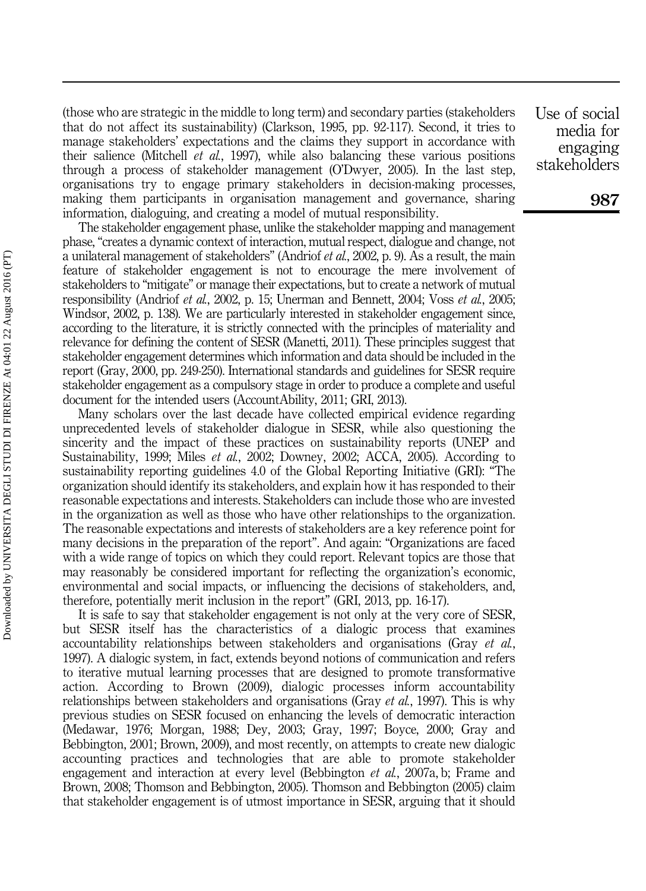(those who are strategic in the middle to long term) and secondary parties (stakeholders that do not affect its sustainability) (Clarkson, 1995, pp. 92-117). Second, it tries to manage stakeholders' expectations and the claims they support in accordance with their salience (Mitchell et al., 1997), while also balancing these various positions through a process of stakeholder management (O'Dwyer, 2005). In the last step, organisations try to engage primary stakeholders in decision-making processes, making them participants in organisation management and governance, sharing information, dialoguing, and creating a model of mutual responsibility.

The stakeholder engagement phase, unlike the stakeholder mapping and management phase, "creates a dynamic context of interaction, mutual respect, dialogue and change, not a unilateral management of stakeholders" (Andriof et al., 2002, p. 9). As a result, the main feature of stakeholder engagement is not to encourage the mere involvement of stakeholders to "mitigate" or manage their expectations, but to create a network of mutual responsibility (Andriof et al., 2002, p. 15; Unerman and Bennett, 2004; Voss et al., 2005; Windsor, 2002, p. 138). We are particularly interested in stakeholder engagement since, according to the literature, it is strictly connected with the principles of materiality and relevance for defining the content of SESR (Manetti, 2011). These principles suggest that stakeholder engagement determines which information and data should be included in the report (Gray, 2000, pp. 249-250). International standards and guidelines for SESR require stakeholder engagement as a compulsory stage in order to produce a complete and useful document for the intended users (AccountAbility, 2011; GRI, 2013).

Many scholars over the last decade have collected empirical evidence regarding unprecedented levels of stakeholder dialogue in SESR, while also questioning the sincerity and the impact of these practices on sustainability reports (UNEP and Sustainability, 1999; Miles et al., 2002; Downey, 2002; ACCA, 2005). According to sustainability reporting guidelines 4.0 of the Global Reporting Initiative (GRI): "The organization should identify its stakeholders, and explain how it has responded to their reasonable expectations and interests. Stakeholders can include those who are invested in the organization as well as those who have other relationships to the organization. The reasonable expectations and interests of stakeholders are a key reference point for many decisions in the preparation of the report". And again: "Organizations are faced with a wide range of topics on which they could report. Relevant topics are those that may reasonably be considered important for reflecting the organization's economic, environmental and social impacts, or influencing the decisions of stakeholders, and, therefore, potentially merit inclusion in the report" (GRI, 2013, pp. 16-17).

It is safe to say that stakeholder engagement is not only at the very core of SESR, but SESR itself has the characteristics of a dialogic process that examines accountability relationships between stakeholders and organisations (Gray et al., 1997). A dialogic system, in fact, extends beyond notions of communication and refers to iterative mutual learning processes that are designed to promote transformative action. According to Brown (2009), dialogic processes inform accountability relationships between stakeholders and organisations (Gray *et al.*, 1997). This is why previous studies on SESR focused on enhancing the levels of democratic interaction (Medawar, 1976; Morgan, 1988; Dey, 2003; Gray, 1997; Boyce, 2000; Gray and Bebbington, 2001; Brown, 2009), and most recently, on attempts to create new dialogic accounting practices and technologies that are able to promote stakeholder engagement and interaction at every level (Bebbington *et al.*, 2007a, b; Frame and Brown, 2008; Thomson and Bebbington, 2005). Thomson and Bebbington (2005) claim that stakeholder engagement is of utmost importance in SESR, arguing that it should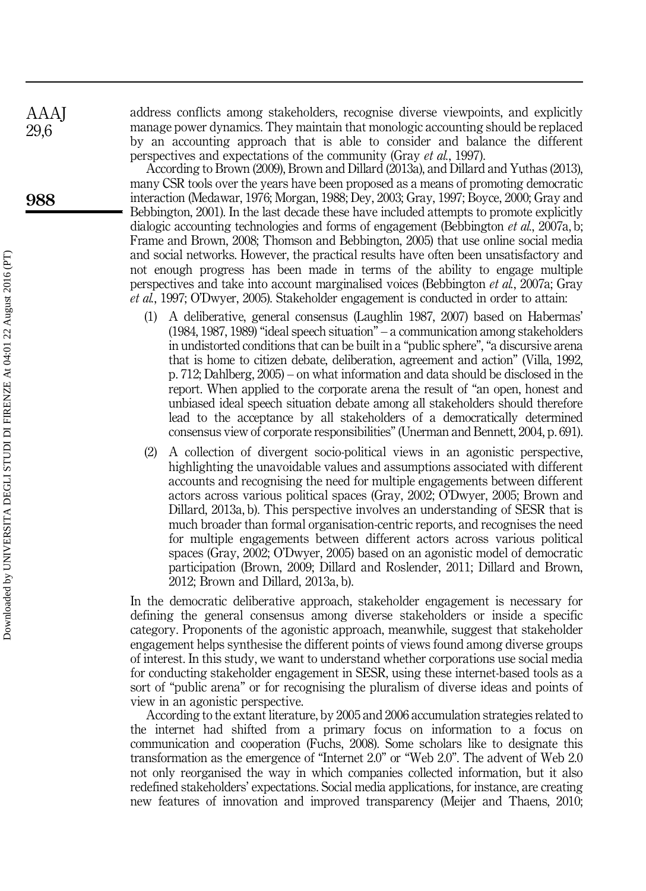address conflicts among stakeholders, recognise diverse viewpoints, and explicitly manage power dynamics. They maintain that monologic accounting should be replaced by an accounting approach that is able to consider and balance the different perspectives and expectations of the community (Gray et al., 1997).

According to Brown (2009), Brown and Dillard (2013a), and Dillard and Yuthas (2013), many CSR tools over the years have been proposed as a means of promoting democratic interaction (Medawar, 1976; Morgan, 1988; Dey, 2003; Gray, 1997; Boyce, 2000; Gray and Bebbington, 2001). In the last decade these have included attempts to promote explicitly dialogic accounting technologies and forms of engagement (Bebbington *et al.*, 2007a, b; Frame and Brown, 2008; Thomson and Bebbington, 2005) that use online social media and social networks. However, the practical results have often been unsatisfactory and not enough progress has been made in terms of the ability to engage multiple perspectives and take into account marginalised voices (Bebbington et al., 2007a; Gray et al., 1997; O'Dwyer, 2005). Stakeholder engagement is conducted in order to attain:

- (1) A deliberative, general consensus (Laughlin 1987, 2007) based on Habermas' (1984, 1987, 1989) "ideal speech situation" – a communication among stakeholders in undistorted conditions that can be built in a "public sphere", "a discursive arena that is home to citizen debate, deliberation, agreement and action" (Villa, 1992, p. 712; Dahlberg, 2005) – on what information and data should be disclosed in the report. When applied to the corporate arena the result of "an open, honest and unbiased ideal speech situation debate among all stakeholders should therefore lead to the acceptance by all stakeholders of a democratically determined consensus view of corporate responsibilities" (Unerman and Bennett, 2004, p. 691).
- (2) A collection of divergent socio-political views in an agonistic perspective, highlighting the unavoidable values and assumptions associated with different accounts and recognising the need for multiple engagements between different actors across various political spaces (Gray, 2002; O'Dwyer, 2005; Brown and Dillard, 2013a, b). This perspective involves an understanding of SESR that is much broader than formal organisation-centric reports, and recognises the need for multiple engagements between different actors across various political spaces (Gray, 2002; O'Dwyer, 2005) based on an agonistic model of democratic participation (Brown, 2009; Dillard and Roslender, 2011; Dillard and Brown, 2012; Brown and Dillard, 2013a, b).

In the democratic deliberative approach, stakeholder engagement is necessary for defining the general consensus among diverse stakeholders or inside a specific category. Proponents of the agonistic approach, meanwhile, suggest that stakeholder engagement helps synthesise the different points of views found among diverse groups of interest. In this study, we want to understand whether corporations use social media for conducting stakeholder engagement in SESR, using these internet-based tools as a sort of "public arena" or for recognising the pluralism of diverse ideas and points of view in an agonistic perspective.

According to the extant literature, by 2005 and 2006 accumulation strategies related to the internet had shifted from a primary focus on information to a focus on communication and cooperation (Fuchs, 2008). Some scholars like to designate this transformation as the emergence of "Internet 2.0" or "Web 2.0". The advent of Web 2.0 not only reorganised the way in which companies collected information, but it also redefined stakeholders' expectations. Social media applications, for instance, are creating new features of innovation and improved transparency (Meijer and Thaens, 2010;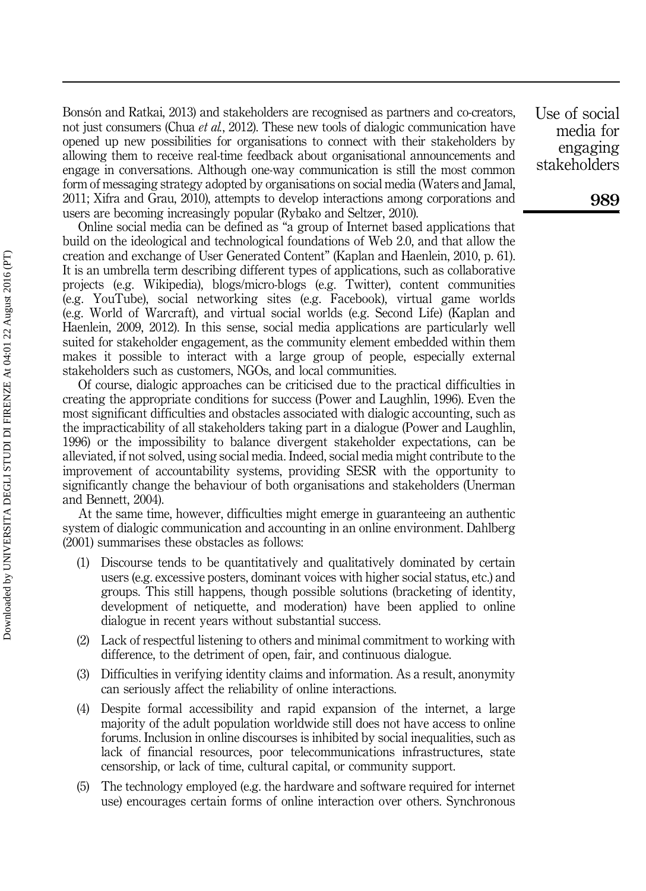Bonsón and Ratkai, 2013) and stakeholders are recognised as partners and co-creators, not just consumers (Chua *et al.*, 2012). These new tools of dialogic communication have opened up new possibilities for organisations to connect with their stakeholders by allowing them to receive real-time feedback about organisational announcements and engage in conversations. Although one-way communication is still the most common form of messaging strategy adopted by organisations on social media (Waters and Jamal, 2011; Xifra and Grau, 2010), attempts to develop interactions among corporations and users are becoming increasingly popular (Rybako and Seltzer, 2010).

Online social media can be defined as "a group of Internet based applications that build on the ideological and technological foundations of Web 2.0, and that allow the creation and exchange of User Generated Content" (Kaplan and Haenlein, 2010, p. 61). It is an umbrella term describing different types of applications, such as collaborative projects (e.g. Wikipedia), blogs/micro-blogs (e.g. Twitter), content communities (e.g. YouTube), social networking sites (e.g. Facebook), virtual game worlds (e.g. World of Warcraft), and virtual social worlds (e.g. Second Life) (Kaplan and Haenlein, 2009, 2012). In this sense, social media applications are particularly well suited for stakeholder engagement, as the community element embedded within them makes it possible to interact with a large group of people, especially external stakeholders such as customers, NGOs, and local communities.

Of course, dialogic approaches can be criticised due to the practical difficulties in creating the appropriate conditions for success (Power and Laughlin, 1996). Even the most significant difficulties and obstacles associated with dialogic accounting, such as the impracticability of all stakeholders taking part in a dialogue (Power and Laughlin, 1996) or the impossibility to balance divergent stakeholder expectations, can be alleviated, if not solved, using social media. Indeed, social media might contribute to the improvement of accountability systems, providing SESR with the opportunity to significantly change the behaviour of both organisations and stakeholders (Unerman and Bennett, 2004).

At the same time, however, difficulties might emerge in guaranteeing an authentic system of dialogic communication and accounting in an online environment. Dahlberg (2001) summarises these obstacles as follows:

- (1) Discourse tends to be quantitatively and qualitatively dominated by certain users (e.g. excessive posters, dominant voices with higher social status, etc.) and groups. This still happens, though possible solutions (bracketing of identity, development of netiquette, and moderation) have been applied to online dialogue in recent years without substantial success.
- (2) Lack of respectful listening to others and minimal commitment to working with difference, to the detriment of open, fair, and continuous dialogue.
- (3) Difficulties in verifying identity claims and information. As a result, anonymity can seriously affect the reliability of online interactions.
- (4) Despite formal accessibility and rapid expansion of the internet, a large majority of the adult population worldwide still does not have access to online forums. Inclusion in online discourses is inhibited by social inequalities, such as lack of financial resources, poor telecommunications infrastructures, state censorship, or lack of time, cultural capital, or community support.
- (5) The technology employed (e.g. the hardware and software required for internet use) encourages certain forms of online interaction over others. Synchronous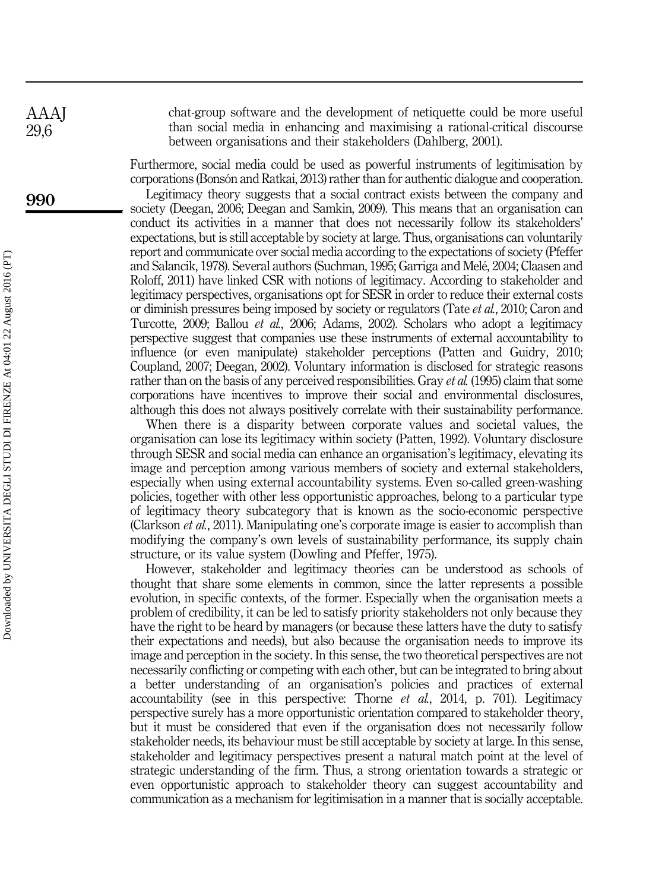chat-group software and the development of netiquette could be more useful than social media in enhancing and maximising a rational-critical discourse between organisations and their stakeholders (Dahlberg, 2001).

Furthermore, social media could be used as powerful instruments of legitimisation by corporations (Bonsón and Ratkai, 2013) rather than for authentic dialogue and cooperation.

Legitimacy theory suggests that a social contract exists between the company and society (Deegan, 2006; Deegan and Samkin, 2009). This means that an organisation can conduct its activities in a manner that does not necessarily follow its stakeholders' expectations, but is still acceptable by society at large. Thus, organisations can voluntarily report and communicate over social media according to the expectations of society (Pfeffer and Salancik, 1978). Several authors (Suchman, 1995; Garriga and Melé, 2004; Claasen and Roloff, 2011) have linked CSR with notions of legitimacy. According to stakeholder and legitimacy perspectives, organisations opt for SESR in order to reduce their external costs or diminish pressures being imposed by society or regulators (Tate et al., 2010; Caron and Turcotte, 2009; Ballou et al., 2006; Adams, 2002). Scholars who adopt a legitimacy perspective suggest that companies use these instruments of external accountability to influence (or even manipulate) stakeholder perceptions (Patten and Guidry, 2010; Coupland, 2007; Deegan, 2002). Voluntary information is disclosed for strategic reasons rather than on the basis of any perceived responsibilities. Gray *et al.* (1995) claim that some corporations have incentives to improve their social and environmental disclosures, although this does not always positively correlate with their sustainability performance.

When there is a disparity between corporate values and societal values, the organisation can lose its legitimacy within society (Patten, 1992). Voluntary disclosure through SESR and social media can enhance an organisation's legitimacy, elevating its image and perception among various members of society and external stakeholders, especially when using external accountability systems. Even so-called green-washing policies, together with other less opportunistic approaches, belong to a particular type of legitimacy theory subcategory that is known as the socio-economic perspective (Clarkson et al., 2011). Manipulating one's corporate image is easier to accomplish than modifying the company's own levels of sustainability performance, its supply chain structure, or its value system (Dowling and Pfeffer, 1975).

However, stakeholder and legitimacy theories can be understood as schools of thought that share some elements in common, since the latter represents a possible evolution, in specific contexts, of the former. Especially when the organisation meets a problem of credibility, it can be led to satisfy priority stakeholders not only because they have the right to be heard by managers (or because these latters have the duty to satisfy their expectations and needs), but also because the organisation needs to improve its image and perception in the society. In this sense, the two theoretical perspectives are not necessarily conflicting or competing with each other, but can be integrated to bring about a better understanding of an organisation's policies and practices of external accountability (see in this perspective: Thorne et al., 2014, p. 701). Legitimacy perspective surely has a more opportunistic orientation compared to stakeholder theory, but it must be considered that even if the organisation does not necessarily follow stakeholder needs, its behaviour must be still acceptable by society at large. In this sense, stakeholder and legitimacy perspectives present a natural match point at the level of strategic understanding of the firm. Thus, a strong orientation towards a strategic or even opportunistic approach to stakeholder theory can suggest accountability and communication as a mechanism for legitimisation in a manner that is socially acceptable.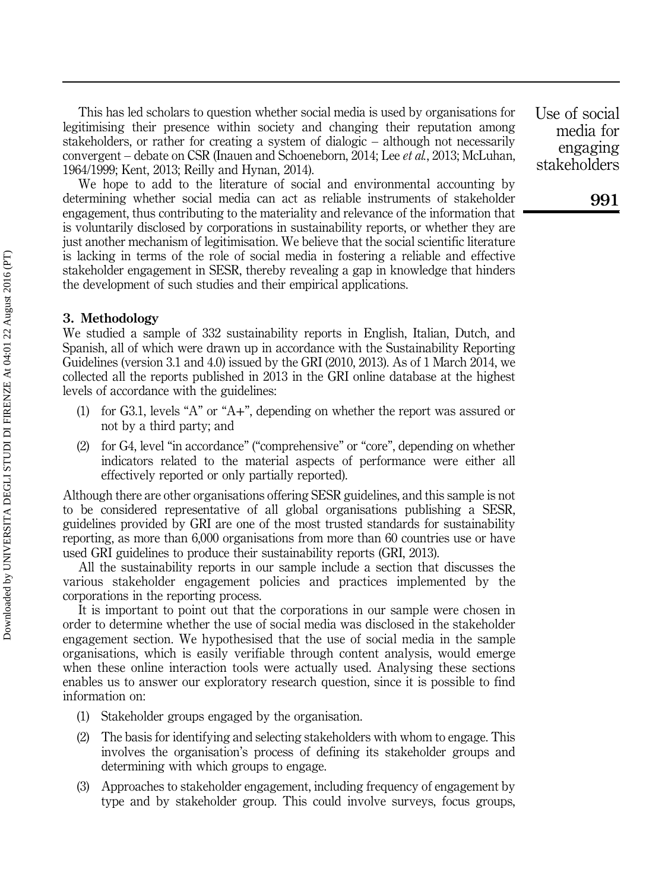This has led scholars to question whether social media is used by organisations for legitimising their presence within society and changing their reputation among stakeholders, or rather for creating a system of dialogic – although not necessarily convergent – debate on CSR (Inauen and Schoeneborn, 2014; Lee et al., 2013; McLuhan, 1964/1999; Kent, 2013; Reilly and Hynan, 2014).

We hope to add to the literature of social and environmental accounting by determining whether social media can act as reliable instruments of stakeholder engagement, thus contributing to the materiality and relevance of the information that is voluntarily disclosed by corporations in sustainability reports, or whether they are just another mechanism of legitimisation. We believe that the social scientific literature is lacking in terms of the role of social media in fostering a reliable and effective stakeholder engagement in SESR, thereby revealing a gap in knowledge that hinders the development of such studies and their empirical applications.

#### 3. Methodology

We studied a sample of 332 sustainability reports in English, Italian, Dutch, and Spanish, all of which were drawn up in accordance with the Sustainability Reporting Guidelines (version 3.1 and 4.0) issued by the GRI (2010, 2013). As of 1 March 2014, we collected all the reports published in 2013 in the GRI online database at the highest levels of accordance with the guidelines:

- (1) for G3.1, levels "A" or "A+", depending on whether the report was assured or not by a third party; and
- (2) for G4, level "in accordance" ("comprehensive" or "core", depending on whether indicators related to the material aspects of performance were either all effectively reported or only partially reported).

Although there are other organisations offering SESR guidelines, and this sample is not to be considered representative of all global organisations publishing a SESR, guidelines provided by GRI are one of the most trusted standards for sustainability reporting, as more than 6,000 organisations from more than 60 countries use or have used GRI guidelines to produce their sustainability reports (GRI, 2013).

All the sustainability reports in our sample include a section that discusses the various stakeholder engagement policies and practices implemented by the corporations in the reporting process.

It is important to point out that the corporations in our sample were chosen in order to determine whether the use of social media was disclosed in the stakeholder engagement section. We hypothesised that the use of social media in the sample organisations, which is easily verifiable through content analysis, would emerge when these online interaction tools were actually used. Analysing these sections enables us to answer our exploratory research question, since it is possible to find information on:

- (1) Stakeholder groups engaged by the organisation.
- (2) The basis for identifying and selecting stakeholders with whom to engage. This involves the organisation's process of defining its stakeholder groups and determining with which groups to engage.
- (3) Approaches to stakeholder engagement, including frequency of engagement by type and by stakeholder group. This could involve surveys, focus groups,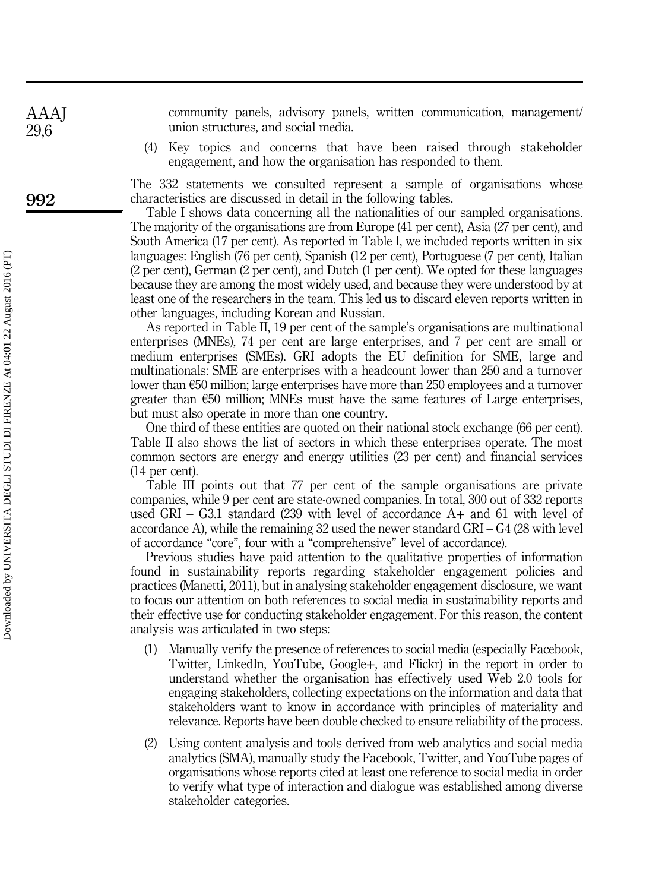community panels, advisory panels, written communication, management/ union structures, and social media.

(4) Key topics and concerns that have been raised through stakeholder engagement, and how the organisation has responded to them.

The 332 statements we consulted represent a sample of organisations whose characteristics are discussed in detail in the following tables.

Table I shows data concerning all the nationalities of our sampled organisations. The majority of the organisations are from Europe (41 per cent), Asia (27 per cent), and South America (17 per cent). As reported in Table I, we included reports written in six languages: English (76 per cent), Spanish (12 per cent), Portuguese (7 per cent), Italian (2 per cent), German (2 per cent), and Dutch (1 per cent). We opted for these languages because they are among the most widely used, and because they were understood by at least one of the researchers in the team. This led us to discard eleven reports written in other languages, including Korean and Russian.

As reported in Table II, 19 per cent of the sample's organisations are multinational enterprises (MNEs), 74 per cent are large enterprises, and 7 per cent are small or medium enterprises (SMEs). GRI adopts the EU definition for SME, large and multinationals: SME are enterprises with a headcount lower than 250 and a turnover lower than €50 million; large enterprises have more than 250 employees and a turnover greater than  $\epsilon$ 50 million; MNEs must have the same features of Large enterprises, but must also operate in more than one country.

One third of these entities are quoted on their national stock exchange (66 per cent). Table II also shows the list of sectors in which these enterprises operate. The most common sectors are energy and energy utilities (23 per cent) and financial services (14 per cent).

Table III points out that 77 per cent of the sample organisations are private companies, while 9 per cent are state-owned companies. In total, 300 out of 332 reports used GRI – G3.1 standard (239 with level of accordance  $A+$  and 61 with level of accordance A), while the remaining 32 used the newer standard GRI – G4 (28 with level of accordance "core", four with a "comprehensive" level of accordance).

Previous studies have paid attention to the qualitative properties of information found in sustainability reports regarding stakeholder engagement policies and practices (Manetti, 2011), but in analysing stakeholder engagement disclosure, we want to focus our attention on both references to social media in sustainability reports and their effective use for conducting stakeholder engagement. For this reason, the content analysis was articulated in two steps:

- (1) Manually verify the presence of references to social media (especially Facebook, Twitter, LinkedIn, YouTube, Google+, and Flickr) in the report in order to understand whether the organisation has effectively used Web 2.0 tools for engaging stakeholders, collecting expectations on the information and data that stakeholders want to know in accordance with principles of materiality and relevance. Reports have been double checked to ensure reliability of the process.
- (2) Using content analysis and tools derived from web analytics and social media analytics (SMA), manually study the Facebook, Twitter, and YouTube pages of organisations whose reports cited at least one reference to social media in order to verify what type of interaction and dialogue was established among diverse stakeholder categories.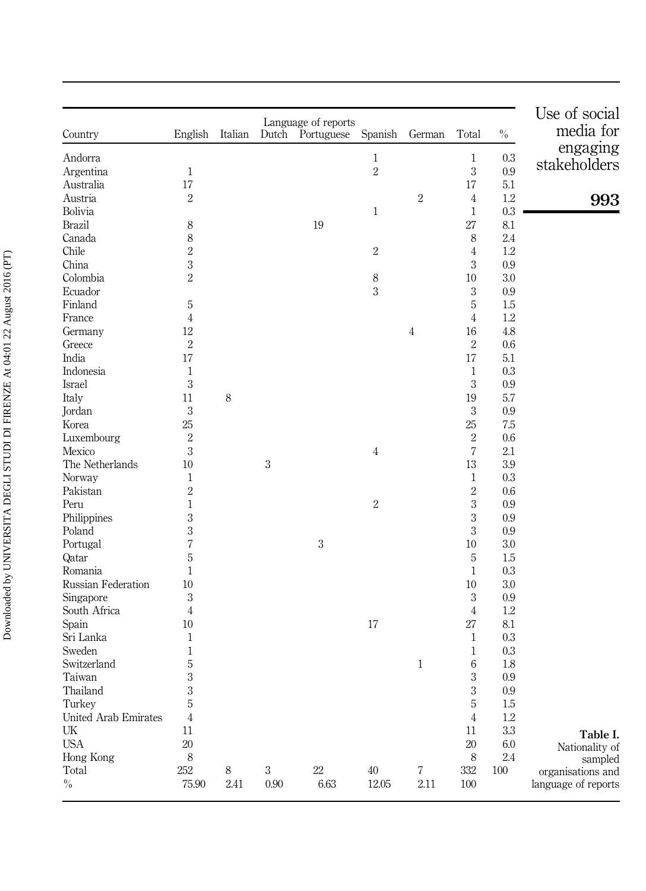|                      |                |          |            |                                   |                |              |                |         | Use of social       |
|----------------------|----------------|----------|------------|-----------------------------------|----------------|--------------|----------------|---------|---------------------|
| Country              | English        | Italian  | Dutch      | Language of reports<br>Portuguese | Spanish        | German       | Total          | $\%$    | media for           |
| Andorra              |                |          |            |                                   | $\mathbf{1}$   |              | $\mathbf{1}$   | 0.3     | engaging            |
| Argentina            | $\,1\,$        |          |            |                                   | $\overline{2}$ |              | $\sqrt{3}$     | 0.9     | stakeholders        |
| Australia            | 17             |          |            |                                   |                |              | 17             | 5.1     |                     |
| Austria              | $\overline{2}$ |          |            |                                   |                | $\sqrt{2}$   | $\overline{4}$ | $1.2\,$ | 993                 |
| Bolivia              |                |          |            |                                   | 1              |              | $\mathbf{1}$   | $0.3\,$ |                     |
| <b>Brazil</b>        | 8              |          |            | 19                                |                |              | 27             | 8.1     |                     |
| Canada               | 8              |          |            |                                   |                |              | 8              | 2.4     |                     |
| Chile                | $\overline{2}$ |          |            |                                   | $\sqrt{2}$     |              | $\overline{4}$ | 1.2     |                     |
| China                | 3              |          |            |                                   |                |              | 3              | 0.9     |                     |
| Colombia             | $\overline{2}$ |          |            |                                   | 8              |              | 10             | 3.0     |                     |
| Ecuador              |                |          |            |                                   | 3              |              | $\,3$          | 0.9     |                     |
| Finland              | 5              |          |            |                                   |                |              | 5              | 1.5     |                     |
| France               | 4              |          |            |                                   |                |              | $\overline{4}$ | 1.2     |                     |
| Germany              | 12             |          |            |                                   |                | 4            | 16             | 4.8     |                     |
| Greece               | $\overline{2}$ |          |            |                                   |                |              | $\sqrt{2}$     | 0.6     |                     |
| India                | 17             |          |            |                                   |                |              | 17             | 5.1     |                     |
| Indonesia            | 1              |          |            |                                   |                |              | 1              | 0.3     |                     |
| Israel               | 3              |          |            |                                   |                |              | $\sqrt{3}$     | 0.9     |                     |
| Italy                | 11             | 8        |            |                                   |                |              | 19             | 5.7     |                     |
| Jordan               | 3              |          |            |                                   |                |              | $\,3$          | 0.9     |                     |
| Korea                | 25             |          |            |                                   |                |              | 25             | 7.5     |                     |
| Luxembourg           | $\overline{2}$ |          |            |                                   |                |              | $\,2$          | 0.6     |                     |
| Mexico               | 3              |          |            |                                   | 4              |              | 7              | 2.1     |                     |
| The Netherlands      | 10             |          | $\sqrt{3}$ |                                   |                |              | $13\,$         | 3.9     |                     |
| Norway               | $\mathbf{1}$   |          |            |                                   |                |              | $\mathbf{1}$   | 0.3     |                     |
| Pakistan             | $\overline{2}$ |          |            |                                   |                |              | $\overline{2}$ | 0.6     |                     |
| Peru                 | 1              |          |            |                                   | $\sqrt{2}$     |              | $\sqrt{3}$     | 0.9     |                     |
| Philippines          | 3              |          |            |                                   |                |              | 3              | 0.9     |                     |
| Poland               | 3              |          |            |                                   |                |              | 3              | 0.9     |                     |
| Portugal             | 7              |          |            | $\boldsymbol{3}$                  |                |              | $10\,$         | 3.0     |                     |
| Qatar                | 5              |          |            |                                   |                |              | 5              | 1.5     |                     |
| Romania              | 1              |          |            |                                   |                |              | $\mathbf{1}$   | 0.3     |                     |
| Russian Federation   | 10             |          |            |                                   |                |              | 10             | 3.0     |                     |
| Singapore            | 3              |          |            |                                   |                |              | $\,3$          | 0.9     |                     |
| South Africa         | 4              |          |            |                                   |                |              | $\overline{4}$ | 1.2     |                     |
| Spain                | 10             |          |            |                                   | 17             |              | 27             | 8.1     |                     |
| Sri Lanka            | 1              |          |            |                                   |                |              | $\mathbf{1}$   | 0.3     |                     |
| Sweden               | 1              |          |            |                                   |                |              | $\mathbf{1}$   | 0.3     |                     |
| Switzerland          | 5              |          |            |                                   |                | $\mathbf{1}$ | 6              | 1.8     |                     |
| Taiwan               | 3              |          |            |                                   |                |              | 3              | 0.9     |                     |
| Thailand             | 3              |          |            |                                   |                |              | $\,3$          | $0.9\,$ |                     |
| Turkey               | 5              |          |            |                                   |                |              | 5              | 1.5     |                     |
| United Arab Emirates | 4              |          |            |                                   |                |              | $\overline{4}$ | $1.2\,$ |                     |
| UK                   | 11             |          |            |                                   |                |              | 11             | $3.3\,$ | Table I.            |
| <b>USA</b>           | $20\,$         |          |            |                                   |                |              | 20             | 6.0     | Nationality of      |
| Hong Kong            | 8              |          |            |                                   |                |              | 8              | $2.4\,$ | sampled             |
| Total                | 252            | $\,8\,$  | $\,3$      | $22\,$                            | 40             | 7            | 332            | $100\,$ | organisations and   |
| $\%$                 | 75.90          | $2.41\,$ | $0.90\,$   | 6.63                              | 12.05          | $2.11\,$     | 100            |         | language of reports |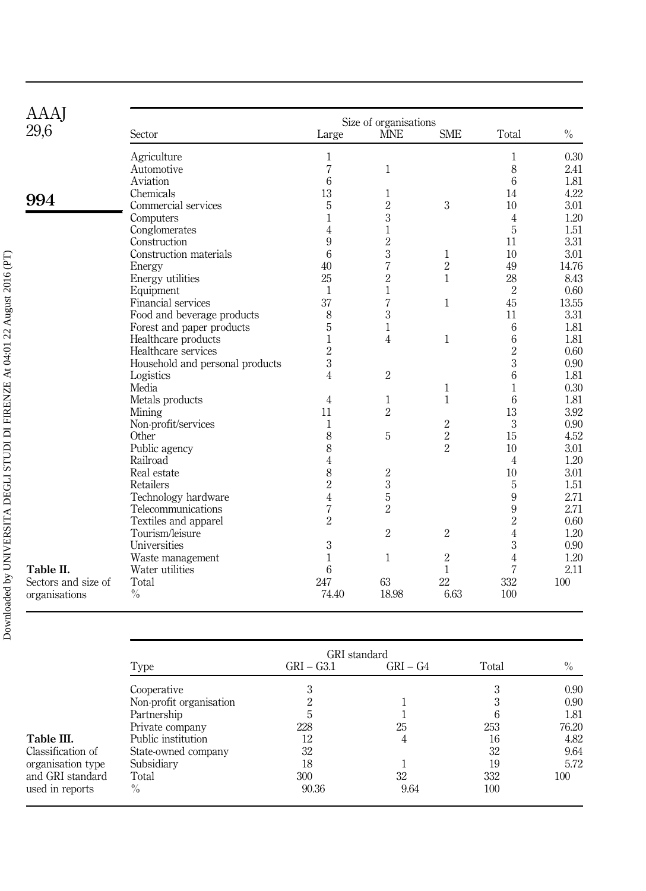| AAAJ                | Size of organisations           |                |                |                |                |       |  |  |  |  |  |
|---------------------|---------------------------------|----------------|----------------|----------------|----------------|-------|--|--|--|--|--|
| 29,6                | Sector                          | Large          | <b>MNE</b>     | <b>SME</b>     | Total          | $\%$  |  |  |  |  |  |
|                     | Agriculture                     | $\mathbf{1}$   |                |                | $\mathbf{1}$   | 0.30  |  |  |  |  |  |
|                     | Automotive                      | $\overline{7}$ | $\mathbf{1}$   |                | 8              | 2.41  |  |  |  |  |  |
|                     | Aviation                        | 6              |                |                | 6              | 1.81  |  |  |  |  |  |
|                     | Chemicals                       | 13             | 1              |                | 14             | 4.22  |  |  |  |  |  |
| 994                 | Commercial services             | 5              | $\,2$          | 3              | 10             | 3.01  |  |  |  |  |  |
|                     | Computers                       | $\mathbf{1}$   | 3              |                | $\overline{4}$ | 1.20  |  |  |  |  |  |
|                     | Conglomerates                   | 4              | $\mathbf{1}$   |                | 5              | 1.51  |  |  |  |  |  |
|                     | Construction                    | 9              | $\overline{2}$ |                | 11             | 3.31  |  |  |  |  |  |
|                     | Construction materials          | 6              | 3              | $\mathbf{1}$   | 10             | 3.01  |  |  |  |  |  |
|                     | Energy                          | 40             | $\overline{7}$ | $\overline{2}$ | 49             | 14.76 |  |  |  |  |  |
|                     | Energy utilities                | 25             | $\overline{2}$ | $\mathbf{1}$   | 28             | 8.43  |  |  |  |  |  |
|                     | Equipment                       | $\mathbf{1}$   | $\mathbf{1}$   |                | $\overline{2}$ | 0.60  |  |  |  |  |  |
|                     | Financial services              | 37             | $\sqrt{2}$     | $\mathbf{1}$   | 45             | 13.55 |  |  |  |  |  |
|                     | Food and beverage products      | 8              | 3              |                | 11             | 3.31  |  |  |  |  |  |
|                     | Forest and paper products       | 5              | $\mathbf{1}$   |                | 6              | 1.81  |  |  |  |  |  |
|                     | Healthcare products             | 1              | 4              | $\mathbf{1}$   | 6              | 1.81  |  |  |  |  |  |
|                     | Healthcare services             | $\overline{2}$ |                |                | $\overline{2}$ | 0.60  |  |  |  |  |  |
|                     | Household and personal products | $\sqrt{3}$     |                |                | 3              | 0.90  |  |  |  |  |  |
|                     | Logistics                       | $\overline{4}$ | $\overline{2}$ |                | 6              | 1.81  |  |  |  |  |  |
|                     | Media                           |                |                | $\mathbf{1}$   | $\mathbf{1}$   | 0.30  |  |  |  |  |  |
|                     | Metals products                 | $\overline{4}$ | $\mathbf{1}$   | $\mathbf{1}$   | 6              | 1.81  |  |  |  |  |  |
|                     | Mining                          | 11             | $\overline{2}$ |                | 13             | 3.92  |  |  |  |  |  |
|                     | Non-profit/services             | $\mathbf{1}$   |                | $\overline{2}$ | $\sqrt{3}$     | 0.90  |  |  |  |  |  |
|                     | Other                           | 8              | 5              | $\overline{2}$ | 15             | 4.52  |  |  |  |  |  |
|                     | Public agency                   | 8              |                | $\overline{2}$ | 10             | 3.01  |  |  |  |  |  |
|                     | Railroad                        | 4              |                |                | $\overline{4}$ | 1.20  |  |  |  |  |  |
|                     | Real estate                     | 8              | $\sqrt{2}$     |                | 10             | 3.01  |  |  |  |  |  |
|                     | Retailers                       | $\overline{2}$ | $\overline{3}$ |                | $\sqrt{5}$     | 1.51  |  |  |  |  |  |
|                     | Technology hardware             | $\overline{4}$ | $\mathbf 5$    |                | 9              | 2.71  |  |  |  |  |  |
|                     | Telecommunications              | 7              | $\overline{2}$ |                | 9              | 2.71  |  |  |  |  |  |
|                     | Textiles and apparel            | $\overline{2}$ |                |                | $\overline{2}$ | 0.60  |  |  |  |  |  |
|                     | Tourism/leisure                 |                | $\overline{2}$ | $\overline{2}$ | $\overline{4}$ | 1.20  |  |  |  |  |  |
|                     | Universities                    | 3              |                |                | $\sqrt{3}$     | 0.90  |  |  |  |  |  |
|                     | Waste management                | $\mathbf{1}$   | $\mathbf{1}$   | $\overline{2}$ | $\overline{4}$ | 1.20  |  |  |  |  |  |
| Table II.           | Water utilities                 | 6              |                | $\mathbf{1}$   | $\overline{7}$ | 2.11  |  |  |  |  |  |
| Sectors and size of | Total                           | 247            | 63             | 22             | 332            | 100   |  |  |  |  |  |
| organisations       | $\frac{0}{0}$                   | 74.40          | 18.98          | 6.63           | 100            |       |  |  |  |  |  |

|                   | GRI standard            |              |            |       |               |  |  |  |  |
|-------------------|-------------------------|--------------|------------|-------|---------------|--|--|--|--|
|                   | Type                    | $GRI - G3.1$ | $GRI - G4$ | Total | $\frac{0}{0}$ |  |  |  |  |
|                   | Cooperative             | 3            |            |       | 0.90          |  |  |  |  |
|                   | Non-profit organisation | າ            |            |       | 0.90          |  |  |  |  |
|                   | Partnership             | 5            |            |       | 1.81          |  |  |  |  |
|                   | Private company         | 228          | 25         | 253   | 76.20         |  |  |  |  |
| Table III.        | Public institution      | 12           | 4          | 16    | 4.82          |  |  |  |  |
| Classification of | State-owned company     | 32           |            | 32    | 9.64          |  |  |  |  |
| organisation type | Subsidiary              | 18           |            | 19    | 5.72          |  |  |  |  |
| and GRI standard  | Total                   | 300          | 32         | 332   | 100           |  |  |  |  |
| used in reports   | $\frac{0}{0}$           | 90.36        | 9.64       | 100   |               |  |  |  |  |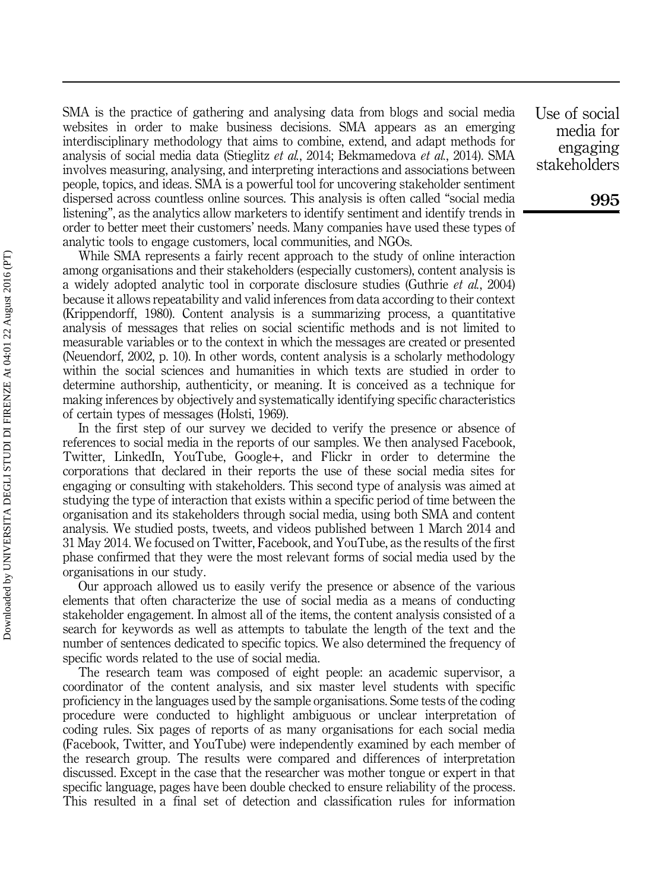SMA is the practice of gathering and analysing data from blogs and social media websites in order to make business decisions. SMA appears as an emerging interdisciplinary methodology that aims to combine, extend, and adapt methods for analysis of social media data (Stieglitz et al., 2014; Bekmamedova et al., 2014). SMA involves measuring, analysing, and interpreting interactions and associations between people, topics, and ideas. SMA is a powerful tool for uncovering stakeholder sentiment dispersed across countless online sources. This analysis is often called "social media listening", as the analytics allow marketers to identify sentiment and identify trends in order to better meet their customers' needs. Many companies have used these types of analytic tools to engage customers, local communities, and NGOs.

While SMA represents a fairly recent approach to the study of online interaction among organisations and their stakeholders (especially customers), content analysis is a widely adopted analytic tool in corporate disclosure studies (Guthrie et al., 2004) because it allows repeatability and valid inferences from data according to their context (Krippendorff, 1980). Content analysis is a summarizing process, a quantitative analysis of messages that relies on social scientific methods and is not limited to measurable variables or to the context in which the messages are created or presented (Neuendorf, 2002, p. 10). In other words, content analysis is a scholarly methodology within the social sciences and humanities in which texts are studied in order to determine authorship, authenticity, or meaning. It is conceived as a technique for making inferences by objectively and systematically identifying specific characteristics of certain types of messages (Holsti, 1969).

In the first step of our survey we decided to verify the presence or absence of references to social media in the reports of our samples. We then analysed Facebook, Twitter, LinkedIn, YouTube, Google+, and Flickr in order to determine the corporations that declared in their reports the use of these social media sites for engaging or consulting with stakeholders. This second type of analysis was aimed at studying the type of interaction that exists within a specific period of time between the organisation and its stakeholders through social media, using both SMA and content analysis. We studied posts, tweets, and videos published between 1 March 2014 and 31 May 2014. We focused on Twitter, Facebook, and YouTube, as the results of the first phase confirmed that they were the most relevant forms of social media used by the organisations in our study.

Our approach allowed us to easily verify the presence or absence of the various elements that often characterize the use of social media as a means of conducting stakeholder engagement. In almost all of the items, the content analysis consisted of a search for keywords as well as attempts to tabulate the length of the text and the number of sentences dedicated to specific topics. We also determined the frequency of specific words related to the use of social media.

The research team was composed of eight people: an academic supervisor, a coordinator of the content analysis, and six master level students with specific proficiency in the languages used by the sample organisations. Some tests of the coding procedure were conducted to highlight ambiguous or unclear interpretation of coding rules. Six pages of reports of as many organisations for each social media (Facebook, Twitter, and YouTube) were independently examined by each member of the research group. The results were compared and differences of interpretation discussed. Except in the case that the researcher was mother tongue or expert in that specific language, pages have been double checked to ensure reliability of the process. This resulted in a final set of detection and classification rules for information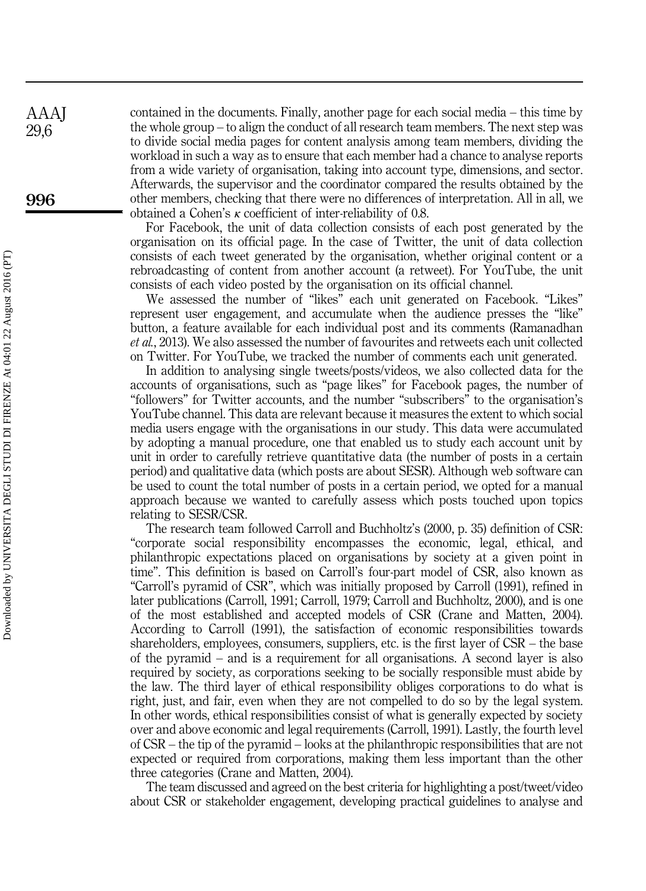contained in the documents. Finally, another page for each social media – this time by the whole group – to align the conduct of all research team members. The next step was to divide social media pages for content analysis among team members, dividing the workload in such a way as to ensure that each member had a chance to analyse reports from a wide variety of organisation, taking into account type, dimensions, and sector. Afterwards, the supervisor and the coordinator compared the results obtained by the other members, checking that there were no differences of interpretation. All in all, we obtained a Cohen's  $\kappa$  coefficient of inter-reliability of 0.8.

For Facebook, the unit of data collection consists of each post generated by the organisation on its official page. In the case of Twitter, the unit of data collection consists of each tweet generated by the organisation, whether original content or a rebroadcasting of content from another account (a retweet). For YouTube, the unit consists of each video posted by the organisation on its official channel.

We assessed the number of "likes" each unit generated on Facebook. "Likes" represent user engagement, and accumulate when the audience presses the "like" button, a feature available for each individual post and its comments (Ramanadhan et al., 2013). We also assessed the number of favourites and retweets each unit collected on Twitter. For YouTube, we tracked the number of comments each unit generated.

In addition to analysing single tweets/posts/videos, we also collected data for the accounts of organisations, such as "page likes" for Facebook pages, the number of "followers" for Twitter accounts, and the number "subscribers" to the organisation's YouTube channel. This data are relevant because it measures the extent to which social media users engage with the organisations in our study. This data were accumulated by adopting a manual procedure, one that enabled us to study each account unit by unit in order to carefully retrieve quantitative data (the number of posts in a certain period) and qualitative data (which posts are about SESR). Although web software can be used to count the total number of posts in a certain period, we opted for a manual approach because we wanted to carefully assess which posts touched upon topics relating to SESR/CSR.

The research team followed Carroll and Buchholtz's (2000, p. 35) definition of CSR: "corporate social responsibility encompasses the economic, legal, ethical, and philanthropic expectations placed on organisations by society at a given point in time". This definition is based on Carroll's four-part model of CSR, also known as "Carroll's pyramid of CSR", which was initially proposed by Carroll (1991), refined in later publications (Carroll, 1991; Carroll, 1979; Carroll and Buchholtz, 2000), and is one of the most established and accepted models of CSR (Crane and Matten, 2004). According to Carroll (1991), the satisfaction of economic responsibilities towards shareholders, employees, consumers, suppliers, etc. is the first layer of CSR – the base of the pyramid – and is a requirement for all organisations. A second layer is also required by society, as corporations seeking to be socially responsible must abide by the law. The third layer of ethical responsibility obliges corporations to do what is right, just, and fair, even when they are not compelled to do so by the legal system. In other words, ethical responsibilities consist of what is generally expected by society over and above economic and legal requirements (Carroll, 1991). Lastly, the fourth level of CSR – the tip of the pyramid – looks at the philanthropic responsibilities that are not expected or required from corporations, making them less important than the other three categories (Crane and Matten, 2004).

The team discussed and agreed on the best criteria for highlighting a post/tweet/video about CSR or stakeholder engagement, developing practical guidelines to analyse and

AAAJ 29,6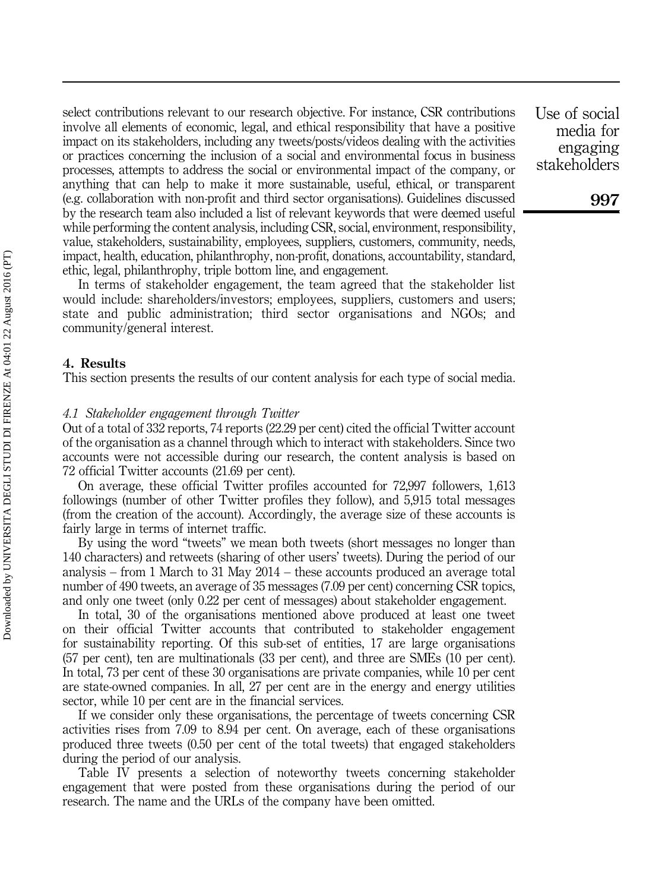select contributions relevant to our research objective. For instance, CSR contributions involve all elements of economic, legal, and ethical responsibility that have a positive impact on its stakeholders, including any tweets/posts/videos dealing with the activities or practices concerning the inclusion of a social and environmental focus in business processes, attempts to address the social or environmental impact of the company, or anything that can help to make it more sustainable, useful, ethical, or transparent (e.g. collaboration with non-profit and third sector organisations). Guidelines discussed by the research team also included a list of relevant keywords that were deemed useful while performing the content analysis, including CSR, social, environment, responsibility, value, stakeholders, sustainability, employees, suppliers, customers, community, needs, impact, health, education, philanthrophy, non-profit, donations, accountability, standard, ethic, legal, philanthrophy, triple bottom line, and engagement.

In terms of stakeholder engagement, the team agreed that the stakeholder list would include: shareholders/investors; employees, suppliers, customers and users; state and public administration; third sector organisations and NGOs; and community/general interest.

#### 4. Results

This section presents the results of our content analysis for each type of social media.

#### 4.1 Stakeholder engagement through Twitter

Out of a total of 332 reports, 74 reports (22.29 per cent) cited the official Twitter account of the organisation as a channel through which to interact with stakeholders. Since two accounts were not accessible during our research, the content analysis is based on 72 official Twitter accounts (21.69 per cent).

On average, these official Twitter profiles accounted for 72,997 followers, 1,613 followings (number of other Twitter profiles they follow), and 5,915 total messages (from the creation of the account). Accordingly, the average size of these accounts is fairly large in terms of internet traffic.

By using the word "tweets" we mean both tweets (short messages no longer than 140 characters) and retweets (sharing of other users' tweets). During the period of our analysis – from 1 March to 31 May 2014 – these accounts produced an average total number of 490 tweets, an average of 35 messages (7.09 per cent) concerning CSR topics, and only one tweet (only 0.22 per cent of messages) about stakeholder engagement.

In total, 30 of the organisations mentioned above produced at least one tweet on their official Twitter accounts that contributed to stakeholder engagement for sustainability reporting. Of this sub-set of entities, 17 are large organisations (57 per cent), ten are multinationals (33 per cent), and three are SMEs (10 per cent). In total, 73 per cent of these 30 organisations are private companies, while 10 per cent are state-owned companies. In all, 27 per cent are in the energy and energy utilities sector, while 10 per cent are in the financial services.

If we consider only these organisations, the percentage of tweets concerning CSR activities rises from 7.09 to 8.94 per cent. On average, each of these organisations produced three tweets (0.50 per cent of the total tweets) that engaged stakeholders during the period of our analysis.

Table IV presents a selection of noteworthy tweets concerning stakeholder engagement that were posted from these organisations during the period of our research. The name and the URLs of the company have been omitted.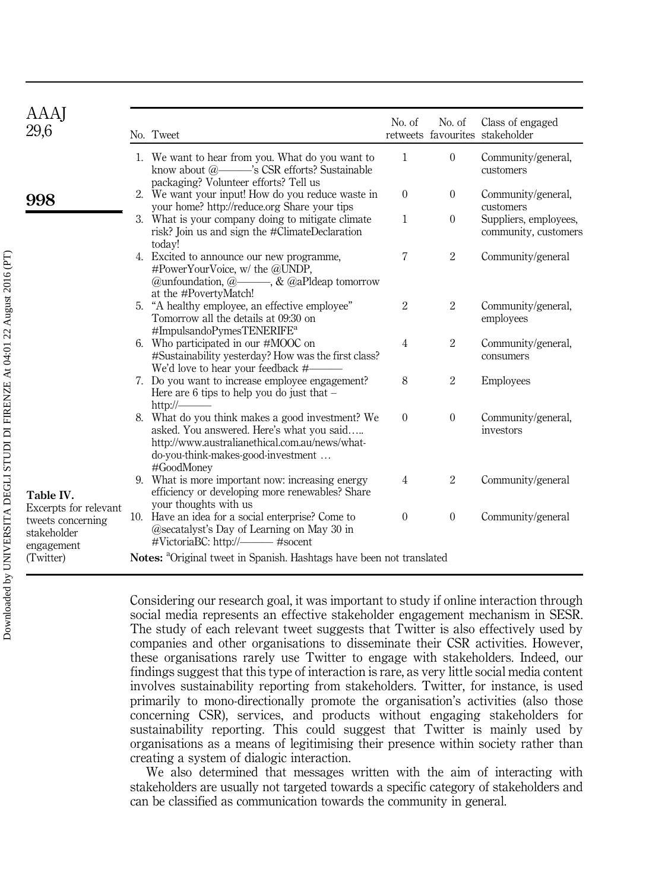| AAAJ<br>29,6                                                            | No. Tweet                                                                                                                                                                                           | No. of         | No. of         | Class of engaged<br>retweets favourites stakeholder |
|-------------------------------------------------------------------------|-----------------------------------------------------------------------------------------------------------------------------------------------------------------------------------------------------|----------------|----------------|-----------------------------------------------------|
|                                                                         | 1. We want to hear from you. What do you want to<br>know about @- S CSR efforts? Sustainable<br>packaging? Volunteer efforts? Tell us                                                               | $\mathbf{1}$   | $\overline{0}$ | Community/general,<br>customers                     |
| 998                                                                     | 2. We want your input! How do you reduce waste in<br>your home? http://reduce.org Share your tips                                                                                                   | $\Omega$       | $\mathbf{0}$   | Community/general,<br>customers                     |
|                                                                         | 3. What is your company doing to mitigate climate<br>risk? Join us and sign the #ClimateDeclaration<br>today!                                                                                       | $\mathbf{1}$   | $\Omega$       | Suppliers, employees,<br>community, customers       |
|                                                                         | 4. Excited to announce our new programme,<br>#PowerYourVoice, w/ the @UNDP,<br>@unfoundation, $@{\longrightarrow}$ , & $@a$ Pldeap tomorrow<br>at the #PovertyMatch!                                | $\overline{7}$ | $\overline{2}$ | Community/general                                   |
|                                                                         | 5. "A healthy employee, an effective employee"<br>Tomorrow all the details at 09:30 on<br>#ImpulsandoPymesTENERIFE <sup>a</sup>                                                                     | 2              | $\overline{2}$ | Community/general,<br>employees                     |
|                                                                         | 6. Who participated in our #MOOC on<br>#Sustainability yesterday? How was the first class?<br>We'd love to hear your feedback #-                                                                    | $\overline{4}$ | $\overline{2}$ | Community/general,<br>consumers                     |
|                                                                         | 7. Do you want to increase employee engagement?<br>Here are 6 tips to help you do just that $-$<br>$\frac{http://$                                                                                  | 8              | $\overline{2}$ | <b>Employees</b>                                    |
|                                                                         | 8. What do you think makes a good investment? We<br>asked. You answered. Here's what you said<br>http://www.australianethical.com.au/news/what-<br>do-you-think-makes-good-investment<br>#GoodMoney | $\Omega$       | $\Omega$       | Community/general,<br>investors                     |
| Table IV.                                                               | 9. What is more important now: increasing energy<br>efficiency or developing more renewables? Share<br>your thoughts with us                                                                        | $\overline{4}$ | $\overline{2}$ | Community/general                                   |
| Excerpts for relevant<br>tweets concerning<br>stakeholder<br>engagement | 10. Have an idea for a social enterprise? Come to<br>@secatalyst's Day of Learning on May 30 in                                                                                                     | $\Omega$       | $\Omega$       | Community/general                                   |
| (Twitter)                                                               | Notes: <sup>a</sup> Original tweet in Spanish. Hashtags have been not translated                                                                                                                    |                |                |                                                     |

Considering our research goal, it was important to study if online interaction through social media represents an effective stakeholder engagement mechanism in SESR. The study of each relevant tweet suggests that Twitter is also effectively used by companies and other organisations to disseminate their CSR activities. However, these organisations rarely use Twitter to engage with stakeholders. Indeed, our findings suggest that this type of interaction is rare, as very little social media content involves sustainability reporting from stakeholders. Twitter, for instance, is used primarily to mono-directionally promote the organisation's activities (also those concerning CSR), services, and products without engaging stakeholders for sustainability reporting. This could suggest that Twitter is mainly used by organisations as a means of legitimising their presence within society rather than creating a system of dialogic interaction.

We also determined that messages written with the aim of interacting with stakeholders are usually not targeted towards a specific category of stakeholders and can be classified as communication towards the community in general.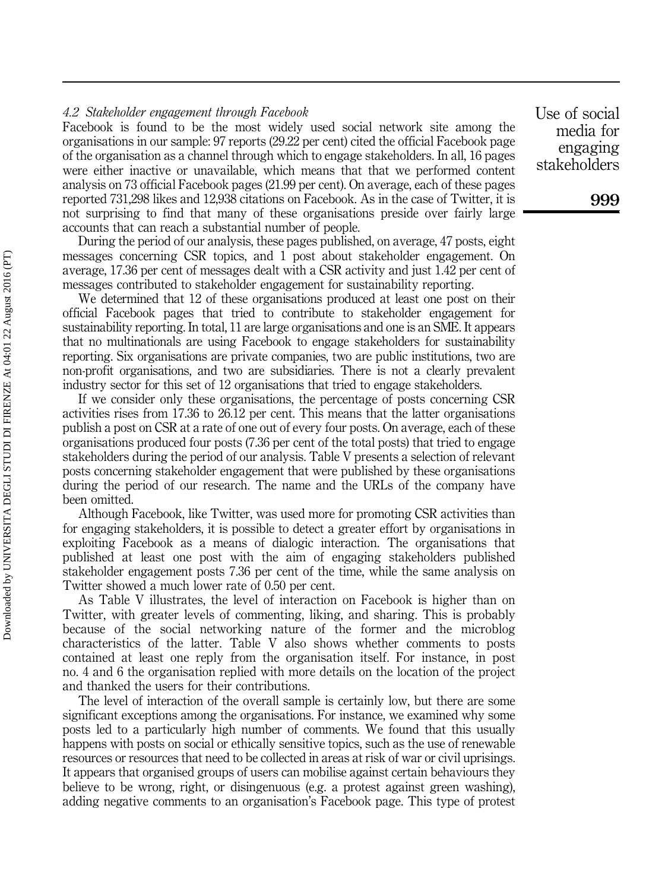#### 4.2 Stakeholder engagement through Facebook

Facebook is found to be the most widely used social network site among the organisations in our sample: 97 reports (29.22 per cent) cited the official Facebook page of the organisation as a channel through which to engage stakeholders. In all, 16 pages were either inactive or unavailable, which means that that we performed content analysis on 73 official Facebook pages (21.99 per cent). On average, each of these pages reported 731,298 likes and 12,938 citations on Facebook. As in the case of Twitter, it is not surprising to find that many of these organisations preside over fairly large accounts that can reach a substantial number of people.

During the period of our analysis, these pages published, on average, 47 posts, eight messages concerning CSR topics, and 1 post about stakeholder engagement. On average, 17.36 per cent of messages dealt with a CSR activity and just 1.42 per cent of messages contributed to stakeholder engagement for sustainability reporting.

We determined that 12 of these organisations produced at least one post on their official Facebook pages that tried to contribute to stakeholder engagement for sustainability reporting. In total, 11 are large organisations and one is an SME. It appears that no multinationals are using Facebook to engage stakeholders for sustainability reporting. Six organisations are private companies, two are public institutions, two are non-profit organisations, and two are subsidiaries. There is not a clearly prevalent industry sector for this set of 12 organisations that tried to engage stakeholders.

If we consider only these organisations, the percentage of posts concerning CSR activities rises from 17.36 to 26.12 per cent. This means that the latter organisations publish a post on CSR at a rate of one out of every four posts. On average, each of these organisations produced four posts (7.36 per cent of the total posts) that tried to engage stakeholders during the period of our analysis. Table V presents a selection of relevant posts concerning stakeholder engagement that were published by these organisations during the period of our research. The name and the URLs of the company have been omitted.

Although Facebook, like Twitter, was used more for promoting CSR activities than for engaging stakeholders, it is possible to detect a greater effort by organisations in exploiting Facebook as a means of dialogic interaction. The organisations that published at least one post with the aim of engaging stakeholders published stakeholder engagement posts 7.36 per cent of the time, while the same analysis on Twitter showed a much lower rate of 0.50 per cent.

As Table V illustrates, the level of interaction on Facebook is higher than on Twitter, with greater levels of commenting, liking, and sharing. This is probably because of the social networking nature of the former and the microblog characteristics of the latter. Table V also shows whether comments to posts contained at least one reply from the organisation itself. For instance, in post no. 4 and 6 the organisation replied with more details on the location of the project and thanked the users for their contributions.

The level of interaction of the overall sample is certainly low, but there are some significant exceptions among the organisations. For instance, we examined why some posts led to a particularly high number of comments. We found that this usually happens with posts on social or ethically sensitive topics, such as the use of renewable resources or resources that need to be collected in areas at risk of war or civil uprisings. It appears that organised groups of users can mobilise against certain behaviours they believe to be wrong, right, or disingenuous (e.g. a protest against green washing), adding negative comments to an organisation's Facebook page. This type of protest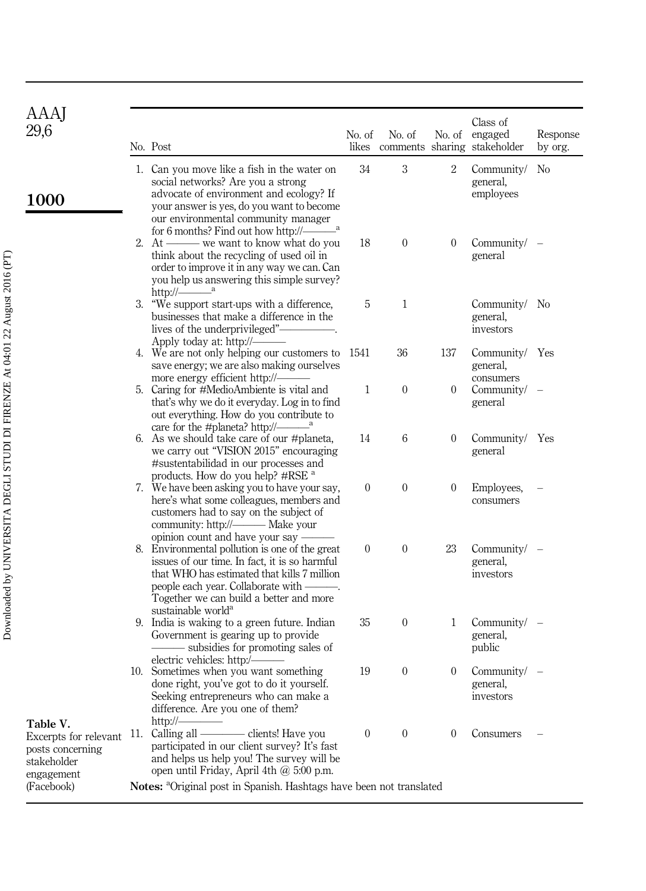| AAAJ<br>29,6                                                                       |     | No. Post                                                                                                                                                                                                                                                             | No. of<br>likes | No. of           |                | Class of<br>No. of engaged<br>comments sharing stakeholder | Response<br>by org. |
|------------------------------------------------------------------------------------|-----|----------------------------------------------------------------------------------------------------------------------------------------------------------------------------------------------------------------------------------------------------------------------|-----------------|------------------|----------------|------------------------------------------------------------|---------------------|
| <b>1000</b>                                                                        |     | 1. Can you move like a fish in the water on<br>social networks? Are you a strong<br>advocate of environment and ecology? If<br>your answer is yes, do you want to become<br>our environmental community manager                                                      | 34              | 3                | 2              | Community/<br>general,<br>employees                        | N <sub>0</sub>      |
|                                                                                    |     | 2. At — we want to know what do you<br>think about the recycling of used oil in<br>order to improve it in any way we can. Can<br>you help us answering this simple survey?<br>http:// $\frac{a}{a}$                                                                  | 18              | $\overline{0}$   | $\overline{0}$ | Community $/ -$<br>general                                 |                     |
|                                                                                    |     | 3. "We support start-ups with a difference,<br>businesses that make a difference in the<br>lives of the underprivileged"-<br>Apply today at: $http://-$                                                                                                              | 5               | 1                |                | Community/ No<br>general,<br>investors                     |                     |
|                                                                                    |     | 4. We are not only helping our customers to<br>save energy; we are also making ourselves<br>more energy efficient http://-                                                                                                                                           | 1541            | 36               | 137            | Community/ Yes<br>general,<br>consumers                    |                     |
|                                                                                    |     | 5. Caring for #MedioAmbiente is vital and<br>that's why we do it everyday. Log in to find<br>out everything. How do you contribute to<br>care for the #planeta? http:// $\frac{3}{2}$                                                                                | 1               | $\boldsymbol{0}$ | $\overline{0}$ | Community $/ -$<br>general                                 |                     |
|                                                                                    |     | 6. As we should take care of our #planeta,<br>we carry out "VISION 2015" encouraging<br>#sustentabilidad in our processes and<br>products. How do you help? #RSE <sup>a</sup>                                                                                        | 14              | 6                | $\overline{0}$ | Community/ Yes<br>general                                  |                     |
|                                                                                    |     | 7. We have been asking you to have your say,<br>here's what some colleagues, members and<br>customers had to say on the subject of<br>opinion count and have your say —                                                                                              | $\overline{0}$  | $\boldsymbol{0}$ | $\overline{0}$ | Employees,<br>consumers                                    |                     |
|                                                                                    |     | 8. Environmental pollution is one of the great<br>issues of our time. In fact, it is so harmful<br>that WHO has estimated that kills 7 million<br>people each year. Collaborate with ——<br>Together we can build a better and more<br>sustainable world <sup>a</sup> | $\overline{0}$  | $\overline{0}$   | 23             | Community/ -<br>general,<br>investors                      |                     |
|                                                                                    |     | 9. India is waking to a green future. Indian<br>Government is gearing up to provide<br>- subsidies for promoting sales of<br>electric vehicles: http:/-                                                                                                              | 35              | 0                | 1              | Community/<br>general,<br>public                           |                     |
|                                                                                    |     | 10. Sometimes when you want something<br>done right, you've got to do it yourself.<br>Seeking entrepreneurs who can make a<br>difference. Are you one of them?<br>http:// $-$                                                                                        | 19              | $\boldsymbol{0}$ | $\overline{0}$ | $Commuty/ -$<br>general,<br>investors                      |                     |
| Table V.<br>Excerpts for relevant<br>posts concerning<br>stakeholder<br>engagement | 11. | Calling all $-$<br>participated in our client survey? It's fast<br>and helps us help you! The survey will be<br>open until Friday, April 4th @ 5:00 p.m.                                                                                                             | $\overline{0}$  | $\overline{0}$   | $\overline{0}$ | Consumers                                                  |                     |
| (Facebook)                                                                         |     | Notes: <sup>a</sup> Original post in Spanish. Hashtags have been not translated                                                                                                                                                                                      |                 |                  |                |                                                            |                     |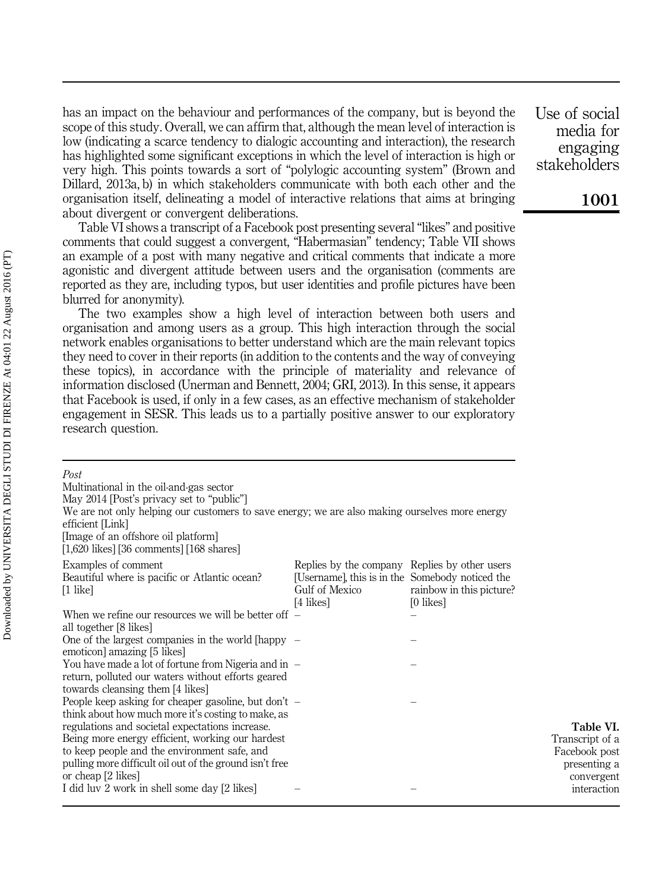has an impact on the behaviour and performances of the company, but is beyond the scope of this study. Overall, we can affirm that, although the mean level of interaction is low (indicating a scarce tendency to dialogic accounting and interaction), the research has highlighted some significant exceptions in which the level of interaction is high or very high. This points towards a sort of "polylogic accounting system" (Brown and Dillard, 2013a, b) in which stakeholders communicate with both each other and the organisation itself, delineating a model of interactive relations that aims at bringing about divergent or convergent deliberations.

Table VI shows a transcript of a Facebook post presenting several "likes" and positive comments that could suggest a convergent, "Habermasian" tendency; Table VII shows an example of a post with many negative and critical comments that indicate a more agonistic and divergent attitude between users and the organisation (comments are reported as they are, including typos, but user identities and profile pictures have been blurred for anonymity).

The two examples show a high level of interaction between both users and organisation and among users as a group. This high interaction through the social network enables organisations to better understand which are the main relevant topics they need to cover in their reports (in addition to the contents and the way of conveying these topics), in accordance with the principle of materiality and relevance of information disclosed (Unerman and Bennett, 2004; GRI, 2013). In this sense, it appears that Facebook is used, if only in a few cases, as an effective mechanism of stakeholder engagement in SESR. This leads us to a partially positive answer to our exploratory research question.

| Post<br>Multinational in the oil-and-gas sector<br>May 2014 [Post's privacy set to "public"]<br>We are not only helping our customers to save energy; we are also making ourselves more energy<br>efficient [Link]<br>[Image of an offshore oil platform]<br>$[1,620$ likes] [36 comments] [168 shares]                                                                                              |                                                                                                                                 |                                       |                                                                                            |
|------------------------------------------------------------------------------------------------------------------------------------------------------------------------------------------------------------------------------------------------------------------------------------------------------------------------------------------------------------------------------------------------------|---------------------------------------------------------------------------------------------------------------------------------|---------------------------------------|--------------------------------------------------------------------------------------------|
| Examples of comment<br>Beautiful where is pacific or Atlantic ocean?<br>$\lceil 1 \rceil$ like                                                                                                                                                                                                                                                                                                       | Replies by the company Replies by other users<br>[Username], this is in the Somebody noticed the<br>Gulf of Mexico<br>[4 likes] | rainbow in this picture?<br>[0 likes] |                                                                                            |
| When we refine our resources we will be better off $-$<br>all together [8 likes]                                                                                                                                                                                                                                                                                                                     |                                                                                                                                 |                                       |                                                                                            |
| One of the largest companies in the world [happy $-$<br>emoticon] amazing [5 likes]                                                                                                                                                                                                                                                                                                                  |                                                                                                                                 |                                       |                                                                                            |
| You have made a lot of fortune from Nigeria and in $-$<br>return, polluted our waters without efforts geared<br>towards cleansing them [4 likes]                                                                                                                                                                                                                                                     |                                                                                                                                 |                                       |                                                                                            |
| People keep asking for cheaper gasoline, but don't $-$<br>think about how much more it's costing to make, as<br>regulations and societal expectations increase.<br>Being more energy efficient, working our hardest<br>to keep people and the environment safe, and<br>pulling more difficult oil out of the ground isn't free<br>or cheap [2 likes]<br>I did luv 2 work in shell some day [2 likes] |                                                                                                                                 |                                       | Table VI.<br>Transcript of a<br>Facebook post<br>presenting a<br>convergent<br>interaction |
|                                                                                                                                                                                                                                                                                                                                                                                                      |                                                                                                                                 |                                       |                                                                                            |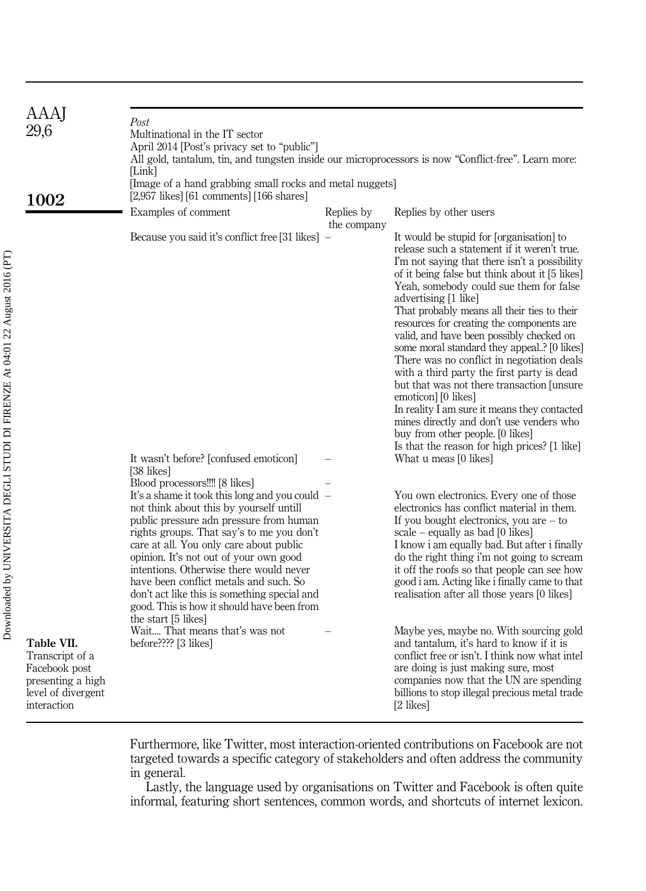| AAAJ<br>29,6<br>1002                                                                                     | Post<br>Multinational in the IT sector<br>April 2014 [Post's privacy set to "public"]<br>All gold, tantalum, tin, and tungsten inside our microprocessors is now "Conflict-free". Learn more:<br>[Link]<br>[Image of a hand grabbing small rocks and metal nuggets]<br>$[2,957$ likes] $[61$ comments] $[166$ shares]                                                                                                                                     |                           |                                                                                                                                                                                                                                                                                                                                                                                                                                                                                                                                                                                                                                                                                                                                                                                                       |
|----------------------------------------------------------------------------------------------------------|-----------------------------------------------------------------------------------------------------------------------------------------------------------------------------------------------------------------------------------------------------------------------------------------------------------------------------------------------------------------------------------------------------------------------------------------------------------|---------------------------|-------------------------------------------------------------------------------------------------------------------------------------------------------------------------------------------------------------------------------------------------------------------------------------------------------------------------------------------------------------------------------------------------------------------------------------------------------------------------------------------------------------------------------------------------------------------------------------------------------------------------------------------------------------------------------------------------------------------------------------------------------------------------------------------------------|
|                                                                                                          | Examples of comment                                                                                                                                                                                                                                                                                                                                                                                                                                       | Replies by<br>the company | Replies by other users                                                                                                                                                                                                                                                                                                                                                                                                                                                                                                                                                                                                                                                                                                                                                                                |
|                                                                                                          | Because you said it's conflict free [31 likes] –                                                                                                                                                                                                                                                                                                                                                                                                          |                           | It would be stupid for [organisation] to<br>release such a statement if it weren't true.<br>I'm not saying that there isn't a possibility<br>of it being false but think about it [5 likes]<br>Yeah, somebody could sue them for false<br>advertising [1 like]<br>That probably means all their ties to their<br>resources for creating the components are<br>valid, and have been possibly checked on<br>some moral standard they appeal? [0 likes]<br>There was no conflict in negotiation deals<br>with a third party the first party is dead<br>but that was not there transaction funsure<br>emoticon] [0 likes]<br>In reality I am sure it means they contacted<br>mines directly and don't use venders who<br>buy from other people. [0 likes]<br>Is that the reason for high prices? [1 like] |
|                                                                                                          | It wasn't before? [confused emoticon]<br>[38 likes]<br>Blood processors!!!! [8 likes]                                                                                                                                                                                                                                                                                                                                                                     |                           | What u meas [0 likes]                                                                                                                                                                                                                                                                                                                                                                                                                                                                                                                                                                                                                                                                                                                                                                                 |
|                                                                                                          | It's a shame it took this long and you could -<br>not think about this by yourself untill<br>public pressure adn pressure from human<br>rights groups. That say's to me you don't<br>care at all. You only care about public<br>opinion. It's not out of your own good<br>intentions. Otherwise there would never<br>have been conflict metals and such. So<br>don't act like this is something special and<br>good. This is how it should have been from |                           | You own electronics. Every one of those<br>electronics has conflict material in them.<br>If you bought electronics, you are $-$ to<br>scale – equally as bad $[0 \text{ likes}]$<br>I know i am equally bad. But after i finally<br>do the right thing i'm not going to scream<br>it off the roofs so that people can see how<br>good i am. Acting like i finally came to that<br>realisation after all those years [0 likes]                                                                                                                                                                                                                                                                                                                                                                         |
| Table VII.<br>Transcript of a<br>Facebook post<br>presenting a high<br>level of divergent<br>interaction | the start [5 likes]<br>Wait That means that's was not<br>before???? [3 likes]                                                                                                                                                                                                                                                                                                                                                                             |                           | Maybe yes, maybe no. With sourcing gold<br>and tantalum, it's hard to know if it is<br>conflict free or isn't. I think now what intel<br>are doing is just making sure, most<br>companies now that the UN are spending<br>billions to stop illegal precious metal trade<br>[2 likes]                                                                                                                                                                                                                                                                                                                                                                                                                                                                                                                  |

Furthermore, like Twitter, most interaction-oriented contributions on Facebook are not targeted towards a specific category of stakeholders and often address the community in general.

Lastly, the language used by organisations on Twitter and Facebook is often quite informal, featuring short sentences, common words, and shortcuts of internet lexicon.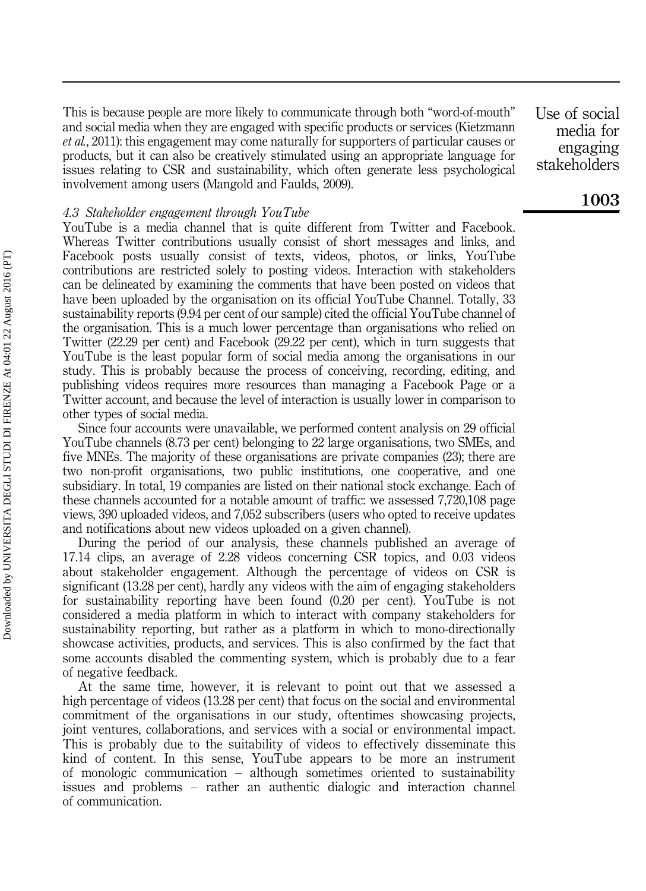This is because people are more likely to communicate through both "word-of-mouth" and social media when they are engaged with specific products or services (Kietzmann et al., 2011): this engagement may come naturally for supporters of particular causes or products, but it can also be creatively stimulated using an appropriate language for issues relating to CSR and sustainability, which often generate less psychological involvement among users (Mangold and Faulds, 2009).

#### 4.3 Stakeholder engagement through YouTube

YouTube is a media channel that is quite different from Twitter and Facebook. Whereas Twitter contributions usually consist of short messages and links, and Facebook posts usually consist of texts, videos, photos, or links, YouTube contributions are restricted solely to posting videos. Interaction with stakeholders can be delineated by examining the comments that have been posted on videos that have been uploaded by the organisation on its official YouTube Channel. Totally, 33 sustainability reports (9.94 per cent of our sample) cited the official YouTube channel of the organisation. This is a much lower percentage than organisations who relied on Twitter (22.29 per cent) and Facebook (29.22 per cent), which in turn suggests that YouTube is the least popular form of social media among the organisations in our study. This is probably because the process of conceiving, recording, editing, and publishing videos requires more resources than managing a Facebook Page or a Twitter account, and because the level of interaction is usually lower in comparison to other types of social media.

Since four accounts were unavailable, we performed content analysis on 29 official YouTube channels (8.73 per cent) belonging to 22 large organisations, two SMEs, and five MNEs. The majority of these organisations are private companies (23); there are two non-profit organisations, two public institutions, one cooperative, and one subsidiary. In total, 19 companies are listed on their national stock exchange. Each of these channels accounted for a notable amount of traffic: we assessed 7,720,108 page views, 390 uploaded videos, and 7,052 subscribers (users who opted to receive updates and notifications about new videos uploaded on a given channel).

During the period of our analysis, these channels published an average of 17.14 clips, an average of 2.28 videos concerning CSR topics, and 0.03 videos about stakeholder engagement. Although the percentage of videos on CSR is significant (13.28 per cent), hardly any videos with the aim of engaging stakeholders for sustainability reporting have been found (0.20 per cent). YouTube is not considered a media platform in which to interact with company stakeholders for sustainability reporting, but rather as a platform in which to mono-directionally showcase activities, products, and services. This is also confirmed by the fact that some accounts disabled the commenting system, which is probably due to a fear of negative feedback.

At the same time, however, it is relevant to point out that we assessed a high percentage of videos (13.28 per cent) that focus on the social and environmental commitment of the organisations in our study, oftentimes showcasing projects, joint ventures, collaborations, and services with a social or environmental impact. This is probably due to the suitability of videos to effectively disseminate this kind of content. In this sense, YouTube appears to be more an instrument of monologic communication – although sometimes oriented to sustainability issues and problems – rather an authentic dialogic and interaction channel of communication.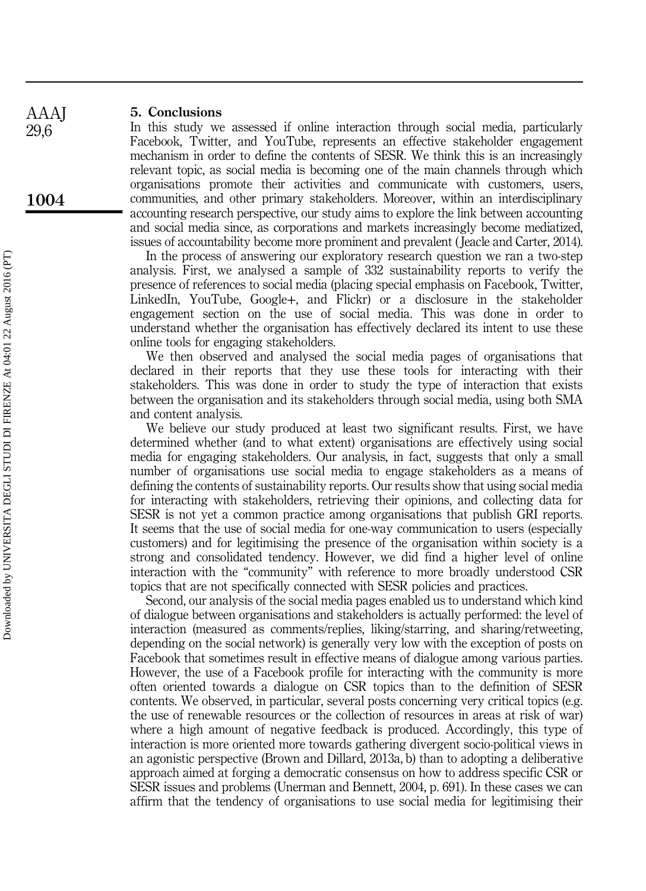#### 5. Conclusions

In this study we assessed if online interaction through social media, particularly Facebook, Twitter, and YouTube, represents an effective stakeholder engagement mechanism in order to define the contents of SESR. We think this is an increasingly relevant topic, as social media is becoming one of the main channels through which organisations promote their activities and communicate with customers, users, communities, and other primary stakeholders. Moreover, within an interdisciplinary accounting research perspective, our study aims to explore the link between accounting and social media since, as corporations and markets increasingly become mediatized, issues of accountability become more prominent and prevalent ( Jeacle and Carter, 2014).

In the process of answering our exploratory research question we ran a two-step analysis. First, we analysed a sample of 332 sustainability reports to verify the presence of references to social media (placing special emphasis on Facebook, Twitter, LinkedIn, YouTube, Google+, and Flickr) or a disclosure in the stakeholder engagement section on the use of social media. This was done in order to understand whether the organisation has effectively declared its intent to use these online tools for engaging stakeholders.

We then observed and analysed the social media pages of organisations that declared in their reports that they use these tools for interacting with their stakeholders. This was done in order to study the type of interaction that exists between the organisation and its stakeholders through social media, using both SMA and content analysis.

We believe our study produced at least two significant results. First, we have determined whether (and to what extent) organisations are effectively using social media for engaging stakeholders. Our analysis, in fact, suggests that only a small number of organisations use social media to engage stakeholders as a means of defining the contents of sustainability reports. Our results show that using social media for interacting with stakeholders, retrieving their opinions, and collecting data for SESR is not yet a common practice among organisations that publish GRI reports. It seems that the use of social media for one-way communication to users (especially customers) and for legitimising the presence of the organisation within society is a strong and consolidated tendency. However, we did find a higher level of online interaction with the "community" with reference to more broadly understood CSR topics that are not specifically connected with SESR policies and practices.

Second, our analysis of the social media pages enabled us to understand which kind of dialogue between organisations and stakeholders is actually performed: the level of interaction (measured as comments/replies, liking/starring, and sharing/retweeting, depending on the social network) is generally very low with the exception of posts on Facebook that sometimes result in effective means of dialogue among various parties. However, the use of a Facebook profile for interacting with the community is more often oriented towards a dialogue on CSR topics than to the definition of SESR contents. We observed, in particular, several posts concerning very critical topics (e.g. the use of renewable resources or the collection of resources in areas at risk of war) where a high amount of negative feedback is produced. Accordingly, this type of interaction is more oriented more towards gathering divergent socio-political views in an agonistic perspective (Brown and Dillard, 2013a, b) than to adopting a deliberative approach aimed at forging a democratic consensus on how to address specific CSR or SESR issues and problems (Unerman and Bennett, 2004, p. 691). In these cases we can affirm that the tendency of organisations to use social media for legitimising their

AAAJ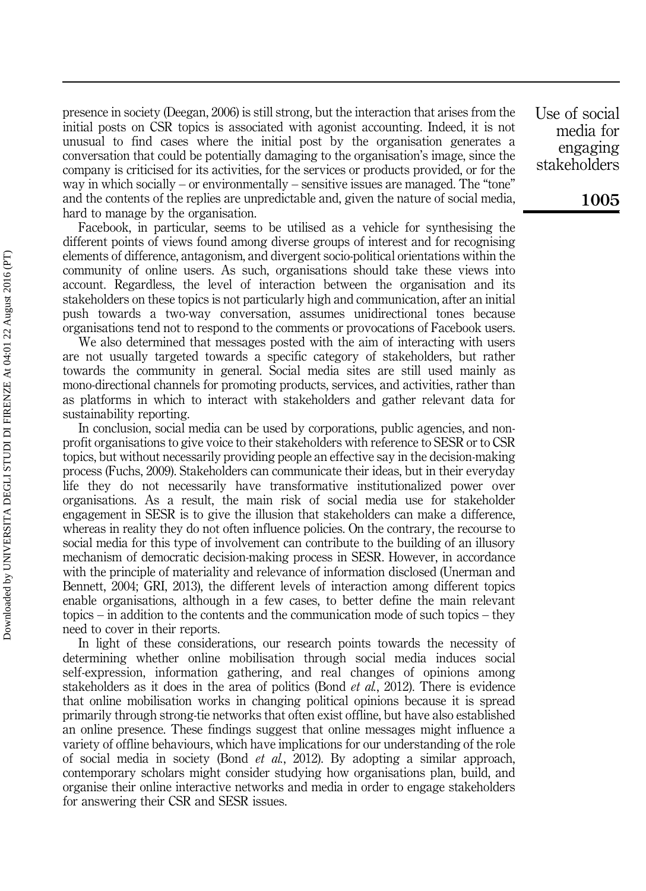presence in society (Deegan, 2006) is still strong, but the interaction that arises from the initial posts on CSR topics is associated with agonist accounting. Indeed, it is not unusual to find cases where the initial post by the organisation generates a conversation that could be potentially damaging to the organisation's image, since the company is criticised for its activities, for the services or products provided, or for the way in which socially – or environmentally – sensitive issues are managed. The "tone" and the contents of the replies are unpredictable and, given the nature of social media, hard to manage by the organisation.

Facebook, in particular, seems to be utilised as a vehicle for synthesising the different points of views found among diverse groups of interest and for recognising elements of difference, antagonism, and divergent socio-political orientations within the community of online users. As such, organisations should take these views into account. Regardless, the level of interaction between the organisation and its stakeholders on these topics is not particularly high and communication, after an initial push towards a two-way conversation, assumes unidirectional tones because organisations tend not to respond to the comments or provocations of Facebook users.

We also determined that messages posted with the aim of interacting with users are not usually targeted towards a specific category of stakeholders, but rather towards the community in general. Social media sites are still used mainly as mono-directional channels for promoting products, services, and activities, rather than as platforms in which to interact with stakeholders and gather relevant data for sustainability reporting.

In conclusion, social media can be used by corporations, public agencies, and nonprofit organisations to give voice to their stakeholders with reference to SESR or to CSR topics, but without necessarily providing people an effective say in the decision-making process (Fuchs, 2009). Stakeholders can communicate their ideas, but in their everyday life they do not necessarily have transformative institutionalized power over organisations. As a result, the main risk of social media use for stakeholder engagement in SESR is to give the illusion that stakeholders can make a difference, whereas in reality they do not often influence policies. On the contrary, the recourse to social media for this type of involvement can contribute to the building of an illusory mechanism of democratic decision-making process in SESR. However, in accordance with the principle of materiality and relevance of information disclosed (Unerman and Bennett, 2004; GRI, 2013), the different levels of interaction among different topics enable organisations, although in a few cases, to better define the main relevant topics – in addition to the contents and the communication mode of such topics – they need to cover in their reports.

In light of these considerations, our research points towards the necessity of determining whether online mobilisation through social media induces social self-expression, information gathering, and real changes of opinions among stakeholders as it does in the area of politics (Bond *et al.*, 2012). There is evidence that online mobilisation works in changing political opinions because it is spread primarily through strong-tie networks that often exist offline, but have also established an online presence. These findings suggest that online messages might influence a variety of offline behaviours, which have implications for our understanding of the role of social media in society (Bond et al., 2012). By adopting a similar approach, contemporary scholars might consider studying how organisations plan, build, and organise their online interactive networks and media in order to engage stakeholders for answering their CSR and SESR issues.

Use of social media for engaging stakeholders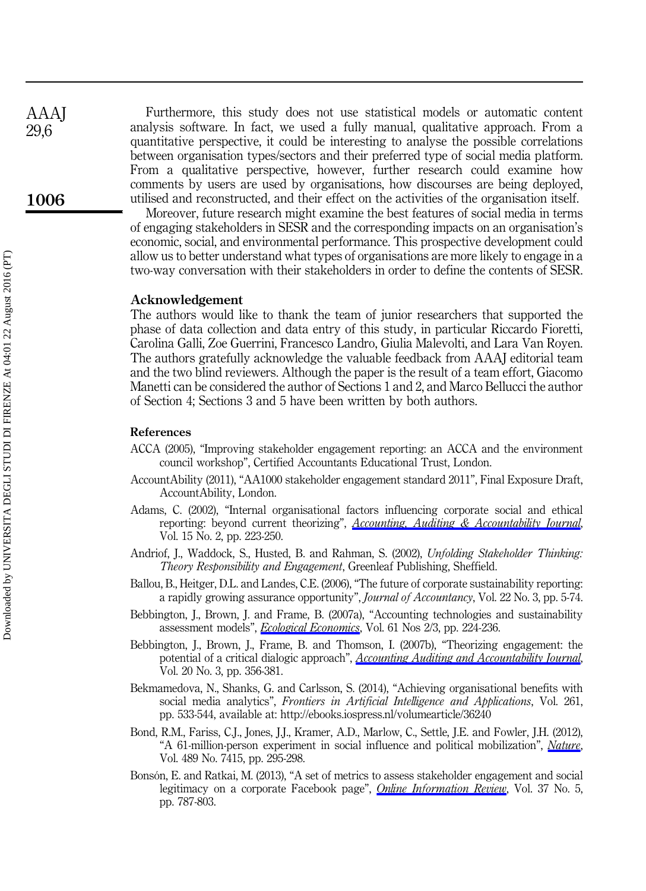Furthermore, this study does not use statistical models or automatic content analysis software. In fact, we used a fully manual, qualitative approach. From a quantitative perspective, it could be interesting to analyse the possible correlations between organisation types/sectors and their preferred type of social media platform. From a qualitative perspective, however, further research could examine how comments by users are used by organisations, how discourses are being deployed, utilised and reconstructed, and their effect on the activities of the organisation itself.

Moreover, future research might examine the best features of social media in terms of engaging stakeholders in SESR and the corresponding impacts on an organisation's economic, social, and environmental performance. This prospective development could allow us to better understand what types of organisations are more likely to engage in a two-way conversation with their stakeholders in order to define the contents of SESR.

#### Acknowledgement

The authors would like to thank the team of junior researchers that supported the phase of data collection and data entry of this study, in particular Riccardo Fioretti, Carolina Galli, Zoe Guerrini, Francesco Landro, Giulia Malevolti, and Lara Van Royen. The authors gratefully acknowledge the valuable feedback from AAAJ editorial team and the two blind reviewers. Although the paper is the result of a team effort, Giacomo Manetti can be considered the author of Sections 1 and 2, and Marco Bellucci the author of Section 4; Sections 3 and 5 have been written by both authors.

#### References

- ACCA (2005), "Improving stakeholder engagement reporting: an ACCA and the environment council workshop", Certified Accountants Educational Trust, London.
- AccountAbility (2011), "AA1000 stakeholder engagement standard 2011", Final Exposure Draft, AccountAbility, London.
- Adams, C. (2002), "Internal organisational factors influencing corporate social and ethical reporting: beyond current theorizing", [Accounting, Auditing & Accountability Journal](http://www.emeraldinsight.com/action/showLinks?system=10.1108%2F09513570210418905), Vol. 15 No. 2, pp. 223-250.
- Andriof, J., Waddock, S., Husted, B. and Rahman, S. (2002), Unfolding Stakeholder Thinking: Theory Responsibility and Engagement, Greenleaf Publishing, Sheffield.
- Ballou, B., Heitger, D.L. and Landes, C.E. (2006), "The future of corporate sustainability reporting: a rapidly growing assurance opportunity", Journal of Accountancy, Vol. 22 No. 3, pp. 5-74.
- Bebbington, J., Brown, J. and Frame, B. (2007a), "Accounting technologies and sustainability assessment models", [Ecological Economics](http://www.emeraldinsight.com/action/showLinks?crossref=10.1016%2Fj.ecolecon.2006.10.021&isi=000245413100004), Vol. 61 Nos 2/3, pp. 224-236.
- Bebbington, J., Brown, J., Frame, B. and Thomson, I. (2007b), "Theorizing engagement: the potential of a critical dialogic approach", [Accounting Auditing and Accountability Journal](http://www.emeraldinsight.com/action/showLinks?system=10.1108%2F09513570710748544), Vol. 20 No. 3, pp. 356-381.
- Bekmamedova, N., Shanks, G. and Carlsson, S. (2014), "Achieving organisational benefits with social media analytics", Frontiers in Artificial Intelligence and Applications, Vol. 261, pp. 533-544, available at: http://ebooks.iospress.nl/volumearticle/36240
- Bond, R.M., Fariss, C.J., Jones, J.J., Kramer, A.D., Marlow, C., Settle, J.E. and Fowler, J.H. (2012), "A 61-million-person experiment in social influence and political mobilization", [Nature](http://www.emeraldinsight.com/action/showLinks?crossref=10.1038%2Fnature11421&isi=000308635900042), Vol. 489 No. 7415, pp. 295-298.
- Bonsón, E. and Ratkai, M. (2013), "A set of metrics to assess stakeholder engagement and social legitimacy on a corporate Facebook page", *[Online Information Review](http://www.emeraldinsight.com/action/showLinks?system=10.1108%2FOIR-03-2012-0054&isi=000326132600007)*, Vol. 37 No. 5, pp. 787-803.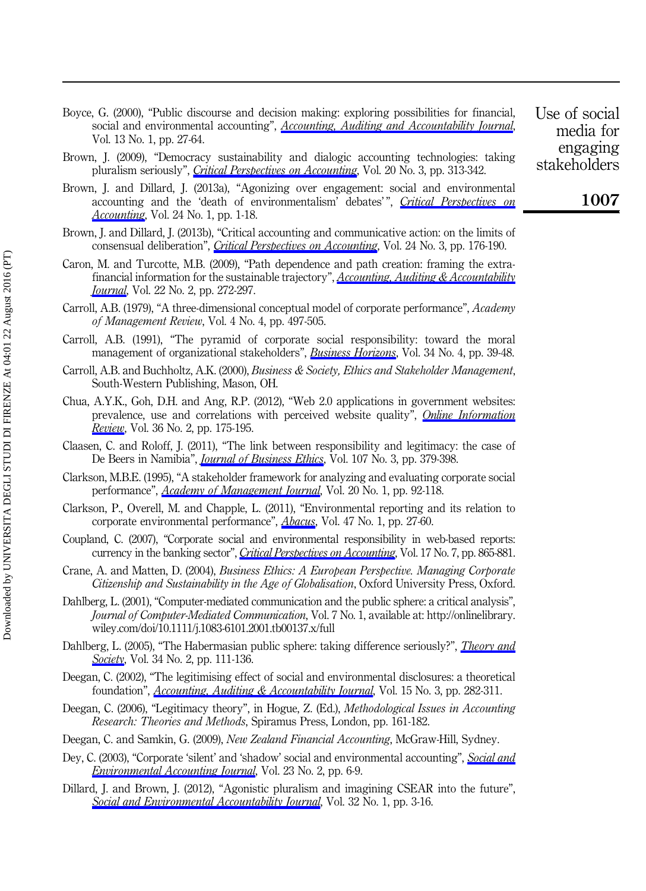- Boyce, G. (2000), "Public discourse and decision making: exploring possibilities for financial, social and environmental accounting", [Accounting, Auditing and Accountability Journal](http://www.emeraldinsight.com/action/showLinks?system=10.1108%2F09513570010316135), Vol. 13 No. 1, pp. 27-64.
- Brown, J. (2009), "Democracy sustainability and dialogic accounting technologies: taking pluralism seriously", [Critical Perspectives on Accounting](http://www.emeraldinsight.com/action/showLinks?crossref=10.1016%2Fj.cpa.2008.08.002), Vol. 20 No. 3, pp. 313-342.
- Brown, J. and Dillard, J. (2013a), "Agonizing over engagement: social and environmental accounting and the 'death of environmentalism' debates'", [Critical Perspectives on](http://www.emeraldinsight.com/action/showLinks?crossref=10.1016%2Fj.cpa.2012.09.001&isi=000209270100001) [Accounting](http://www.emeraldinsight.com/action/showLinks?crossref=10.1016%2Fj.cpa.2012.09.001&isi=000209270100001), Vol. 24 No. 1, pp. 1-18.
- Brown, J. and Dillard, J. (2013b), "Critical accounting and communicative action: on the limits of consensual deliberation", *[Critical Perspectives on Accounting](http://www.emeraldinsight.com/action/showLinks?crossref=10.1016%2Fj.cpa.2012.06.003&isi=000209270300002)*, Vol. 24 No. 3, pp. 176-190.
- Caron, M. and Turcotte, M.B. (2009), "Path dependence and path creation: framing the extrafinancial information for the sustainable trajectory",  $\underline{Accounting}$ , Auditing  $\&$  Accountability *<u>[Journal](http://www.emeraldinsight.com/action/showLinks?system=10.1108%2F09513570910933979)</u>*, Vol. 22 No. 2, pp. 272-297.
- Carroll, A.B. (1979), "A three-dimensional conceptual model of corporate performance", Academy of Management Review, Vol. 4 No. 4, pp. 497-505.
- Carroll, A.B. (1991), "The pyramid of corporate social responsibility: toward the moral management of organizational stakeholders", *[Business Horizons](http://www.emeraldinsight.com/action/showLinks?crossref=10.1016%2F0007-6813%2891%2990005-G)*, Vol. 34 No. 4, pp. 39-48.
- Carroll, A.B. and Buchholtz, A.K. (2000), Business & Society, Ethics and Stakeholder Management, South-Western Publishing, Mason, OH.
- Chua, A.Y.K., Goh, D.H. and Ang, R.P. (2012), "Web 2.0 applications in government websites: prevalence, use and correlations with perceived website quality", *[Online Information](http://www.emeraldinsight.com/action/showLinks?system=10.1108%2F14684521211229020&isi=000304637600002)* [Review](http://www.emeraldinsight.com/action/showLinks?system=10.1108%2F14684521211229020&isi=000304637600002), Vol. 36 No. 2, pp. 175-195.
- Claasen, C. and Roloff, J. (2011), "The link between responsibility and legitimacy: the case of De Beers in Namibia", *[Journal of Business Ethics](http://www.emeraldinsight.com/action/showLinks?crossref=10.1007%2Fs10551-011-1045-0&isi=000303416000010)*, Vol. 107 No. 3, pp. 379-398.
- Clarkson, M.B.E. (1995), "A stakeholder framework for analyzing and evaluating corporate social performance", *[Academy of Management Journal](http://www.emeraldinsight.com/action/showLinks?isi=A1995QF07900009)*, Vol. 20 No. 1, pp. 92-118.
- Clarkson, P., Overell, M. and Chapple, L. (2011), "Environmental reporting and its relation to corporate environmental performance", [Abacus](http://www.emeraldinsight.com/action/showLinks?crossref=10.1111%2Fj.1467-6281.2011.00330.x), Vol. 47 No. 1, pp. 27-60.
- Coupland, C. (2007), "Corporate social and environmental responsibility in web-based reports: currency in the banking sector", *[Critical Perspectives on Accounting](http://www.emeraldinsight.com/action/showLinks?crossref=10.1016%2Fj.cpa.2005.01.001)*, Vol. 17 No. 7, pp. 865-881.
- Crane, A. and Matten, D. (2004), Business Ethics: A European Perspective. Managing Corporate Citizenship and Sustainability in the Age of Globalisation, Oxford University Press, Oxford.
- Dahlberg, L. (2001), "Computer-mediated communication and the public sphere: a critical analysis", Journal of Computer-Mediated Communication, Vol. 7 No. 1, available at: http://onlinelibrary. wiley.com/doi/10.1111/j.1083-6101.2001.tb00137.x/full
- Dahlberg, L. (2005), "The Habermasian public sphere: taking difference seriously?", *[Theory and](http://www.emeraldinsight.com/action/showLinks?crossref=10.1007%2Fs11186-005-0155-z&isi=000228895300001)* [Society](http://www.emeraldinsight.com/action/showLinks?crossref=10.1007%2Fs11186-005-0155-z&isi=000228895300001), Vol. 34 No. 2, pp. 111-136.
- Deegan, C. (2002), "The legitimising effect of social and environmental disclosures: a theoretical foundation", *[Accounting, Auditing & Accountability Journal](http://www.emeraldinsight.com/action/showLinks?system=10.1108%2F09513570210435852)*, Vol. 15 No. 3, pp. 282-311.
- Deegan, C. (2006), "Legitimacy theory", in Hogue, Z. (Ed.), Methodological Issues in Accounting Research: Theories and Methods, Spiramus Press, London, pp. 161-182.
- Deegan, C. and Samkin, G. (2009), New Zealand Financial Accounting, McGraw-Hill, Sydney.
- Dey, C. (2003), "Corporate 'silent' and 'shadow' social and environmental accounting", [Social and](http://www.emeraldinsight.com/action/showLinks?crossref=10.1080%2F0969160X.2003.9651696) *[Environmental Accounting Journal](http://www.emeraldinsight.com/action/showLinks?crossref=10.1080%2F0969160X.2003.9651696)*, Vol. 23 No. 2, pp. 6-9.
- Dillard, J. and Brown, J. (2012), "Agonistic pluralism and imagining CSEAR into the future", [Social and Environmental Accountability Journal](http://www.emeraldinsight.com/action/showLinks?crossref=10.1080%2F0969160X.2012.656403), Vol. 32 No. 1, pp. 3-16.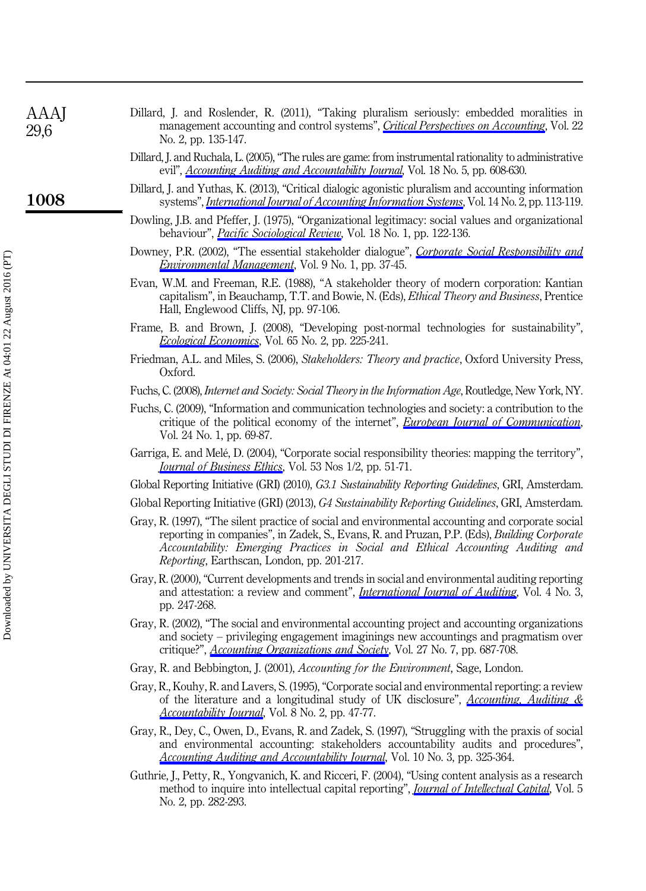| Dillard, J. and Roslender, R. (2011), "Taking pluralism seriously: embedded moralities in |                                                                                                  |  |  |  |  |  |
|-------------------------------------------------------------------------------------------|--------------------------------------------------------------------------------------------------|--|--|--|--|--|
|                                                                                           | management accounting and control systems", <i>Critical Perspectives on Accounting</i> , Vol. 22 |  |  |  |  |  |
|                                                                                           | No. 2, pp. 135-147.                                                                              |  |  |  |  |  |

- Dillard, J. and Ruchala, L. (2005), "The rules are game: from instrumental rationality to administrative evil", *[Accounting Auditing and Accountability Journal](http://www.emeraldinsight.com/action/showLinks?system=10.1108%2F09513570510620475)*, Vol. 18 No. 5, pp. 608-630.
- Dillard, J. and Yuthas, K. (2013), "Critical dialogic agonistic pluralism and accounting information systems", *[International Journal of Accounting Information Systems](http://www.emeraldinsight.com/action/showLinks?crossref=10.1016%2Fj.accinf.2011.07.002&isi=000318322200005)*, Vol. 14 No. 2, pp. 113-119.
- Dowling, J.B. and Pfeffer, J. (1975), "Organizational legitimacy: social values and organizational behaviour", *[Pacific Sociological Review](http://www.emeraldinsight.com/action/showLinks?crossref=10.2307%2F1388226)*, Vol. 18 No. 1, pp. 122-136.
- Downey, P.R. (2002), "The essential stakeholder dialogue", *[Corporate Social Responsibility and](http://www.emeraldinsight.com/action/showLinks?crossref=10.1002%2Fcsr.1)* [Environmental Management](http://www.emeraldinsight.com/action/showLinks?crossref=10.1002%2Fcsr.1), Vol. 9 No. 1, pp. 37-45.
- Evan, W.M. and Freeman, R.E. (1988), "A stakeholder theory of modern corporation: Kantian capitalism", in Beauchamp, T.T. and Bowie, N. (Eds), Ethical Theory and Business, Prentice Hall, Englewood Cliffs, NJ, pp. 97-106.
- Frame, B. and Brown, J. (2008), "Developing post-normal technologies for sustainability", [Ecological Economics](http://www.emeraldinsight.com/action/showLinks?crossref=10.1016%2Fj.ecolecon.2007.11.010&isi=000254798800004), Vol. 65 No. 2, pp. 225-241.
- Friedman, A.L. and Miles, S. (2006), Stakeholders: Theory and practice, Oxford University Press, Oxford.
- Fuchs, C. (2008), Internet and Society: Social Theory in the Information Age, Routledge, New York, NY.
- Fuchs, C. (2009), "Information and communication technologies and society: a contribution to the critique of the political economy of the internet", *[European Journal of Communication](http://www.emeraldinsight.com/action/showLinks?crossref=10.1177%2F0267323108098947&isi=000264377400004)*, Vol. 24 No. 1, pp. 69-87.
- Garriga, E. and Melé, D. (2004), "Corporate social responsibility theories: mapping the territory", [Journal of Business Ethics](http://www.emeraldinsight.com/action/showLinks?crossref=10.1023%2FB%3ABUSI.0000039399.90587.34&isi=000223515700007), Vol. 53 Nos 1/2, pp. 51-71.
- Global Reporting Initiative (GRI) (2010), G3.1 Sustainability Reporting Guidelines, GRI, Amsterdam.
- Global Reporting Initiative (GRI) (2013), G4 Sustainability Reporting Guidelines, GRI, Amsterdam.
- Gray, R. (1997), "The silent practice of social and environmental accounting and corporate social reporting in companies", in Zadek, S., Evans, R. and Pruzan, P.P. (Eds), Building Corporate Accountability: Emerging Practices in Social and Ethical Accounting Auditing and Reporting, Earthscan, London, pp. 201-217.
- Gray, R. (2000), "Current developments and trends in social and environmental auditing reporting and attestation: a review and comment", *[International Journal of Auditing](http://www.emeraldinsight.com/action/showLinks?crossref=10.1111%2F1099-1123.00316)*, Vol. 4 No. 3, pp. 247-268.
- Gray, R. (2002), "The social and environmental accounting project and accounting organizations and society – privileging engagement imaginings new accountings and pragmatism over critique?", *[Accounting Organizations and Society](http://www.emeraldinsight.com/action/showLinks?crossref=10.1016%2FS0361-3682%2800%2900003-9&isi=000177144600005)*, Vol. 27 No. 7, pp. 687-708.
- Gray, R. and Bebbington, J. (2001), Accounting for the Environment, Sage, London.
- Gray, R., Kouhy, R. and Lavers, S. (1995), "Corporate social and environmental reporting: a review of the literature and a longitudinal study of UK disclosure",  $Accounting$ , Auditing  $\&$ [Accountability Journal](http://www.emeraldinsight.com/action/showLinks?system=10.1108%2F09513579510146996), Vol. 8 No. 2, pp. 47-77.
- Gray, R., Dey, C., Owen, D., Evans, R. and Zadek, S. (1997), "Struggling with the praxis of social and environmental accounting: stakeholders accountability audits and procedures", [Accounting Auditing and Accountability Journal](http://www.emeraldinsight.com/action/showLinks?system=10.1108%2F09513579710178106), Vol. 10 No. 3, pp. 325-364.
- Guthrie, J., Petty, R., Yongvanich, K. and Ricceri, F. (2004), "Using content analysis as a research method to inquire into intellectual capital reporting", *[Journal of Intellectual Capital](http://www.emeraldinsight.com/action/showLinks?system=10.1108%2F14691930410533704)*, Vol. 5 No. 2, pp. 282-293.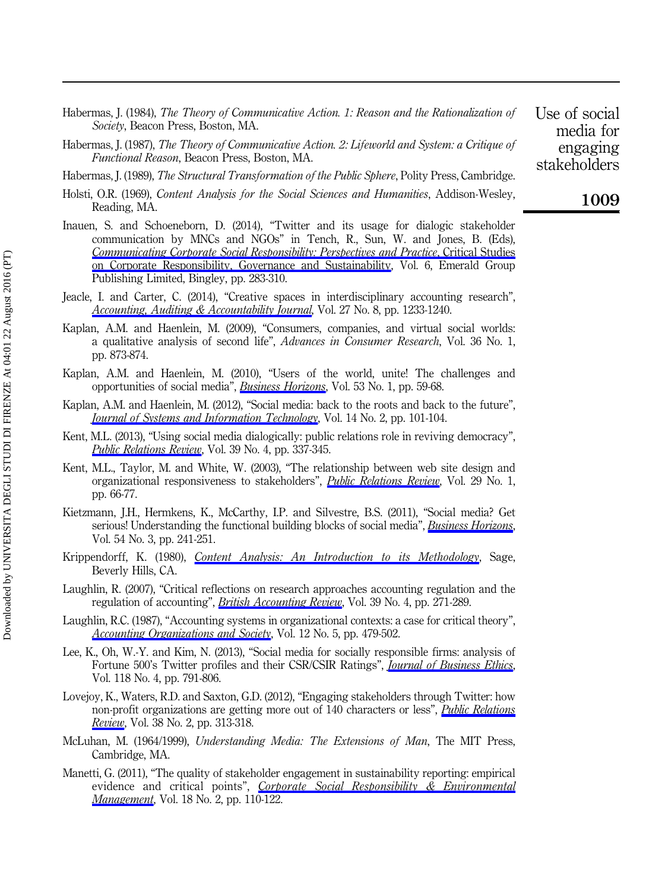- Habermas, J. (1984), The Theory of Communicative Action. 1: Reason and the Rationalization of Society, Beacon Press, Boston, MA.
- Habermas, I. (1987), *The Theory of Communicative Action, 2: Lifeworld and System: a Critique of* Functional Reason, Beacon Press, Boston, MA.
- Habermas, J. (1989), The Structural Transformation of the Public Sphere, Polity Press, Cambridge.
- Holsti, O.R. (1969), Content Analysis for the Social Sciences and Humanities, Addison-Wesley, Reading, MA.
- Inauen, S. and Schoeneborn, D. (2014), "Twitter and its usage for dialogic stakeholder communication by MNCs and NGOs" in Tench, R., Sun, W. and Jones, B. (Eds), [Communicating Corporate Social Responsibility: Perspectives and Practice](http://www.emeraldinsight.com/action/showLinks?system=10.1108%2FS2043-9059%282014%290000006019), Critical Studies [on Corporate Responsibility, Governance and Sustainability,](http://www.emeraldinsight.com/action/showLinks?system=10.1108%2FS2043-9059%282014%290000006019) Vol. 6, Emerald Group Publishing Limited, Bingley, pp. 283-310.
- Jeacle, I. and Carter, C. (2014), "Creative spaces in interdisciplinary accounting research", [Accounting, Auditing & Accountability Journal](http://www.emeraldinsight.com/action/showLinks?system=10.1108%2FAAAJ-06-2014-1735&isi=000345023600003), Vol. 27 No. 8, pp. 1233-1240.
- Kaplan, A.M. and Haenlein, M. (2009), "Consumers, companies, and virtual social worlds: a qualitative analysis of second life", Advances in Consumer Research, Vol. 36 No. 1, pp. 873-874.
- Kaplan, A.M. and Haenlein, M. (2010), "Users of the world, unite! The challenges and opportunities of social media", *[Business Horizons](http://www.emeraldinsight.com/action/showLinks?crossref=10.1016%2Fj.bushor.2009.09.003&isi=000286777300008)*, Vol. 53 No. 1, pp. 59-68.
- Kaplan, A.M. and Haenlein, M. (2012), "Social media: back to the roots and back to the future", [Journal of Systems and Information Technology](http://www.emeraldinsight.com/action/showLinks?system=10.1108%2F13287261211232126), Vol. 14 No. 2, pp. 101-104.
- Kent, M.L. (2013), "Using social media dialogically: public relations role in reviving democracy", [Public Relations Review](http://www.emeraldinsight.com/action/showLinks?crossref=10.1016%2Fj.pubrev.2013.07.024&isi=000327173700011), Vol. 39 No. 4, pp. 337-345.
- Kent, M.L., Taylor, M. and White, W. (2003), "The relationship between web site design and organizational responsiveness to stakeholders", *[Public Relations Review](http://www.emeraldinsight.com/action/showLinks?crossref=10.1016%2FS0363-8111%2802%2900194-7&isi=000181535700005)*, Vol. 29 No. 1, pp. 66-77.
- Kietzmann, J.H., Hermkens, K., McCarthy, I.P. and Silvestre, B.S. (2011), "Social media? Get serious! Understanding the functional building blocks of social media", *[Business Horizons](http://www.emeraldinsight.com/action/showLinks?crossref=10.1016%2Fj.bushor.2011.01.005&isi=000290195900007)*, Vol. 54 No. 3, pp. 241-251.
- Krippendorff, K. (1980), *[Content Analysis: An Introduction to its Methodology](http://www.emeraldinsight.com/action/showLinks?crossref=10.4135%2F9781412961288.n73)*, Sage, Beverly Hills, CA.
- Laughlin, R. (2007), "Critical reflections on research approaches accounting regulation and the regulation of accounting", *[British Accounting Review](http://www.emeraldinsight.com/action/showLinks?crossref=10.1016%2Fj.bar.2007.08.004)*, Vol. 39 No. 4, pp. 271-289.
- Laughlin, R.C. (1987), "Accounting systems in organizational contexts: a case for critical theory", [Accounting Organizations and Society](http://www.emeraldinsight.com/action/showLinks?crossref=10.1016%2F0361-3682%2887%2990032-8&isi=A1987K850500005), Vol. 12 No. 5, pp. 479-502.
- Lee, K., Oh, W.-Y. and Kim, N. (2013), "Social media for socially responsible firms: analysis of Fortune 500's Twitter profiles and their CSR/CSIR Ratings", *[Journal of Business Ethics](http://www.emeraldinsight.com/action/showLinks?crossref=10.1007%2Fs10551-013-1961-2&isi=000328069600008)*, Vol. 118 No. 4, pp. 791-806.
- Lovejoy, K., Waters, R.D. and Saxton, G.D. (2012), "Engaging stakeholders through Twitter: how non-profit organizations are getting more out of 140 characters or less", *[Public Relations](http://www.emeraldinsight.com/action/showLinks?crossref=10.1016%2Fj.pubrev.2012.01.005&isi=000301905400016) [Review](http://www.emeraldinsight.com/action/showLinks?crossref=10.1016%2Fj.pubrev.2012.01.005&isi=000301905400016)*, Vol. 38 No. 2, pp. 313-318.
- McLuhan, M. (1964/1999), Understanding Media: The Extensions of Man, The MIT Press, Cambridge, MA.
- Manetti, G. (2011), "The quality of stakeholder engagement in sustainability reporting: empirical evidence and critical points", *[Corporate Social Responsibility & Environmental](http://www.emeraldinsight.com/action/showLinks?crossref=10.1002%2Fcsr.255&isi=000288820800005) [Management](http://www.emeraldinsight.com/action/showLinks?crossref=10.1002%2Fcsr.255&isi=000288820800005)*, Vol. 18 No. 2, pp. 110-122.

Use of social media for engaging stakeholders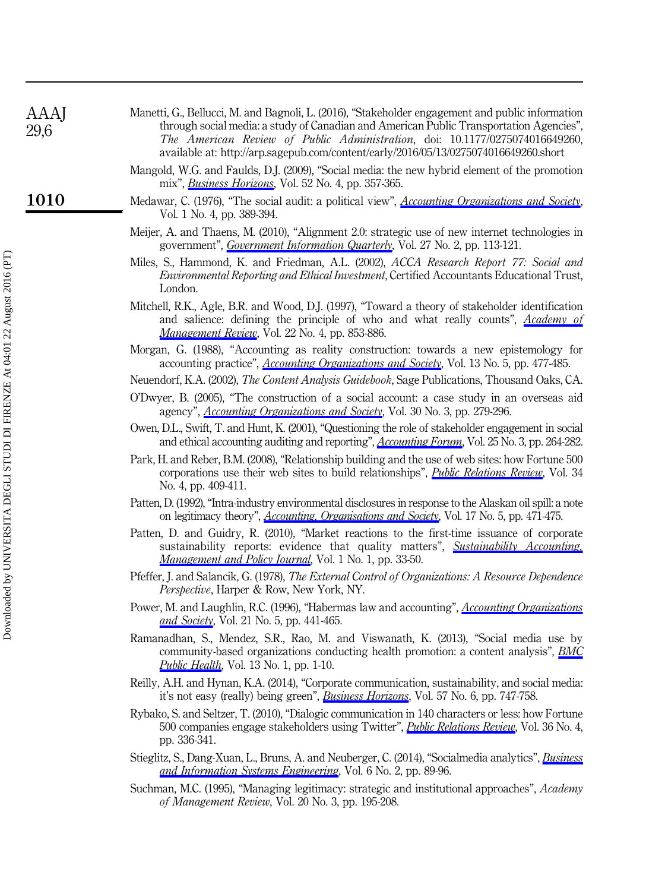| <b>AAAJ</b><br>29,6 | Manetti, G., Bellucci, M. and Bagnoli, L. (2016), "Stakeholder engagement and public information<br>through social media: a study of Canadian and American Public Transportation Agencies",<br>The American Review of Public Administration, doi: 10.1177/0275074016649260,<br>available at: http://arp.sagepub.com/content/early/2016/05/13/0275074016649260.short |
|---------------------|---------------------------------------------------------------------------------------------------------------------------------------------------------------------------------------------------------------------------------------------------------------------------------------------------------------------------------------------------------------------|
|                     | Mangold, W.G. and Faulds, D.J. (2009), "Social media: the new hybrid element of the promotion<br>mix", <i>Business Horizons</i> , Vol. 52 No. 4, pp. 357-365.                                                                                                                                                                                                       |
| 1010                | Medawar, C. (1976), "The social audit: a political view", <i>Accounting Organizations and Society</i> ,<br>Vol. 1 No. 4, pp. 389-394.                                                                                                                                                                                                                               |
|                     | Meijer, A. and Thaens, M. (2010), "Alignment 2.0: strategic use of new internet technologies in<br>government", Government Information Quarterly, Vol. 27 No. 2, pp. 113-121.                                                                                                                                                                                       |
|                     | Miles, S., Hammond, K. and Friedman, A.L. (2002), ACCA Research Report 77: Social and<br>Environmental Reporting and Ethical Investment, Certified Accountants Educational Trust,<br>London.                                                                                                                                                                        |
|                     | Mitchell, R.K., Agle, B.R. and Wood, D.J. (1997), "Toward a theory of stakeholder identification<br>and salience: defining the principle of who and what really counts", Academy of<br>Management Review, Vol. 22 No. 4, pp. 853-886.                                                                                                                               |
|                     | Morgan, G. (1988), "Accounting as reality construction: towards a new epistemology for<br>accounting practice", <i>Accounting Organizations and Society</i> , Vol. 13 No. 5, pp. 477-485.                                                                                                                                                                           |
|                     | Neuendorf, K.A. (2002), The Content Analysis Guidebook, Sage Publications, Thousand Oaks, CA.                                                                                                                                                                                                                                                                       |
|                     | O'Dwyer, B. (2005), "The construction of a social account: a case study in an overseas aid<br>agency", <i>Accounting Organizations and Society</i> , Vol. 30 No. 3, pp. 279-296.                                                                                                                                                                                    |
|                     | Owen, D.L., Swift, T. and Hunt, K. (2001), "Questioning the role of stakeholder engagement in social<br>and ethical accounting auditing and reporting", Accounting Forum, Vol. 25 No. 3, pp. 264-282.                                                                                                                                                               |
|                     | Park, H. and Reber, B.M. (2008), "Relationship building and the use of web sites: how Fortune 500<br>corporations use their web sites to build relationships", <i>Public Relations Review</i> , Vol. 34<br>No. 4, pp. 409-411.                                                                                                                                      |
|                     | Patten, D. (1992), "Intra-industry environmental disclosures in response to the Alaskan oil spill: a note<br>on legitimacy theory", <i>Accounting, Organisations and Society</i> , Vol. 17 No. 5, pp. 471-475.                                                                                                                                                      |
|                     | Patten, D. and Guidry, R. (2010), "Market reactions to the first-time issuance of corporate<br>sustainability reports: evidence that quality matters", Sustainability Accounting,<br>Management and Policy Journal, Vol. 1 No. 1, pp. 33-50.                                                                                                                        |
|                     | Pfeffer, J. and Salancik, G. (1978), The External Control of Organizations: A Resource Dependence<br><i>Perspective, Harper &amp; Row, New York, NY.</i>                                                                                                                                                                                                            |
|                     | Power, M. and Laughlin, R.C. (1996), "Habermas law and accounting", <i>Accounting Organizations</i><br>and Society, Vol. 21 No. 5, pp. 441-465.                                                                                                                                                                                                                     |
|                     | Ramanadhan, S., Mendez, S.R., Rao, M. and Viswanath, K. (2013), "Social media use by<br>community-based organizations conducting health promotion: a content analysis", <b>BMC</b><br><i>Public Health</i> , Vol. 13 No. 1, pp. 1-10.                                                                                                                               |
|                     | Reilly, A.H. and Hynan, K.A. (2014), "Corporate communication, sustainability, and social media:<br>it's not easy (really) being green", <i>Business Horizons</i> , Vol. 57 No. 6, pp. 747-758.                                                                                                                                                                     |
|                     | Rybako, S. and Seltzer, T. (2010), "Dialogic communication in 140 characters or less: how Fortune<br>500 companies engage stakeholders using Twitter", <i>Public Relations Review</i> , Vol. 36 No. 4,<br>pp. 336-341.                                                                                                                                              |
|                     |                                                                                                                                                                                                                                                                                                                                                                     |

- Stieglitz, S., Dang-Xuan, L., Bruns, A. and Neuberger, C. (2014), "Socialmedia analytics", *[Business](http://www.emeraldinsight.com/action/showLinks?crossref=10.1007%2Fs12599-014-0315-7&isi=000333198600004)* [and Information Systems Engineering](http://www.emeraldinsight.com/action/showLinks?crossref=10.1007%2Fs12599-014-0315-7&isi=000333198600004), Vol. 6 No. 2, pp. 89-96.
- Suchman, M.C. (1995), "Managing legitimacy: strategic and institutional approaches", Academy of Management Review, Vol. 20 No. 3, pp. 195-208.